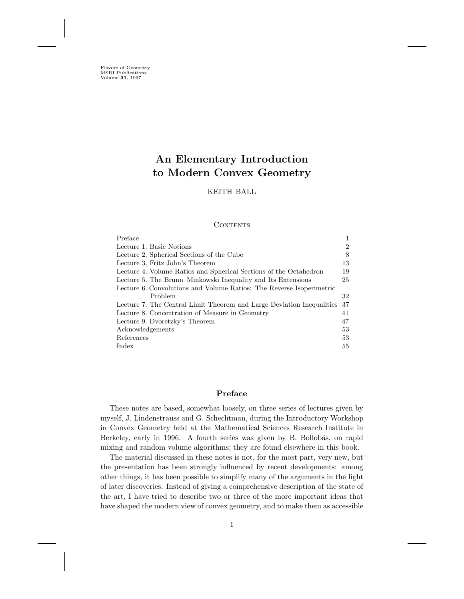Flavors of Geometry MSRI Publications Volume **31**, 1997

# **An Elementary Introduction to Modern Convex Geometry**

# KEITH BALL

### **CONTENTS**

| Preface                                                               |    |
|-----------------------------------------------------------------------|----|
| Lecture 1. Basic Notions                                              | 2  |
| Lecture 2. Spherical Sections of the Cube                             | 8  |
| Lecture 3. Fritz John's Theorem                                       | 13 |
| Lecture 4. Volume Ratios and Spherical Sections of the Octahedron     | 19 |
| Lecture 5. The Brunn–Minkowski Inequality and Its Extensions          | 25 |
| Lecture 6. Convolutions and Volume Ratios: The Reverse Isoperimetric  |    |
| Problem                                                               | 32 |
| Lecture 7. The Central Limit Theorem and Large Deviation Inequalities | 37 |
| Lecture 8. Concentration of Measure in Geometry                       | 41 |
| Lecture 9. Dvoretzky's Theorem                                        | 47 |
| Acknowledgements                                                      | 53 |
| References                                                            | 53 |
| Index                                                                 | 55 |

# **Preface**

These notes are based, somewhat loosely, on three series of lectures given by myself, J. Lindenstrauss and G. Schechtman, during the Introductory Workshop in Convex Geometry held at the Mathematical Sciences Research Institute in Berkeley, early in 1996. A fourth series was given by B. Bollobás, on rapid mixing and random volume algorithms; they are found elsewhere in this book.

The material discussed in these notes is not, for the most part, very new, but the presentation has been strongly influenced by recent developments: among other things, it has been possible to simplify many of the arguments in the light of later discoveries. Instead of giving a comprehensive description of the state of the art, I have tried to describe two or three of the more important ideas that have shaped the modern view of convex geometry, and to make them as accessible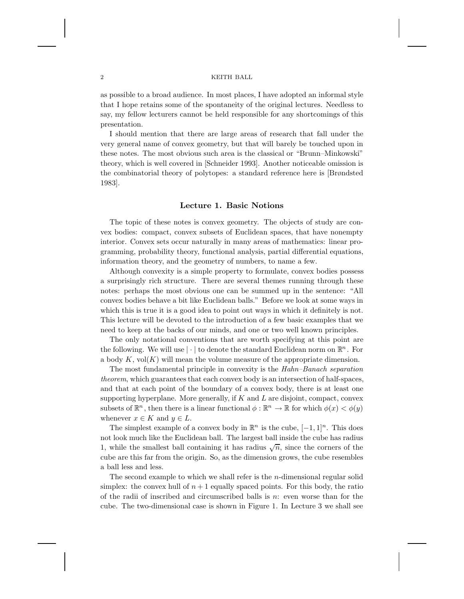as possible to a broad audience. In most places, I have adopted an informal style that I hope retains some of the spontaneity of the original lectures. Needless to say, my fellow lecturers cannot be held responsible for any shortcomings of this presentation.

I should mention that there are large areas of research that fall under the very general name of convex geometry, but that will barely be touched upon in these notes. The most obvious such area is the classical or "Brunn–Minkowski" theory, which is well covered in [Schneider 1993]. Another noticeable omission is the combinatorial theory of polytopes: a standard reference here is [Brøndsted 1983].

# **Lecture 1. Basic Notions**

The topic of these notes is convex geometry. The objects of study are convex bodies: compact, convex subsets of Euclidean spaces, that have nonempty interior. Convex sets occur naturally in many areas of mathematics: linear programming, probability theory, functional analysis, partial differential equations, information theory, and the geometry of numbers, to name a few.

Although convexity is a simple property to formulate, convex bodies possess a surprisingly rich structure. There are several themes running through these notes: perhaps the most obvious one can be summed up in the sentence: "All convex bodies behave a bit like Euclidean balls." Before we look at some ways in which this is true it is a good idea to point out ways in which it definitely is not. This lecture will be devoted to the introduction of a few basic examples that we need to keep at the backs of our minds, and one or two well known principles.

The only notational conventions that are worth specifying at this point are the following. We will use  $|\cdot|$  to denote the standard Euclidean norm on  $\mathbb{R}^n$ . For a body  $K$ , vol $(K)$  will mean the volume measure of the appropriate dimension.

The most fundamental principle in convexity is the *Hahn–Banach separation theorem*, which guarantees that each convex body is an intersection of half-spaces, and that at each point of the boundary of a convex body, there is at least one supporting hyperplane. More generally, if  $K$  and  $L$  are disjoint, compact, convex subsets of  $\mathbb{R}^n$ , then there is a linear functional  $\phi : \mathbb{R}^n \to \mathbb{R}$  for which  $\phi(x) < \phi(y)$ whenever  $x \in K$  and  $y \in L$ .

The simplest example of a convex body in  $\mathbb{R}^n$  is the cube,  $[-1, 1]^n$ . This does not look much like the Euclidean ball. The largest ball inside the cube has radius 1, while the smallest ball containing it has radius  $\sqrt{n}$ , since the corners of the cube are this far from the origin. So, as the dimension grows, the cube resembles a ball less and less.

The second example to which we shall refer is the *n*-dimensional regular solid simplex: the convex hull of  $n+1$  equally spaced points. For this body, the ratio of the radii of inscribed and circumscribed balls is  $n:$  even worse than for the cube. The two-dimensional case is shown in Figure 1. In Lecture 3 we shall see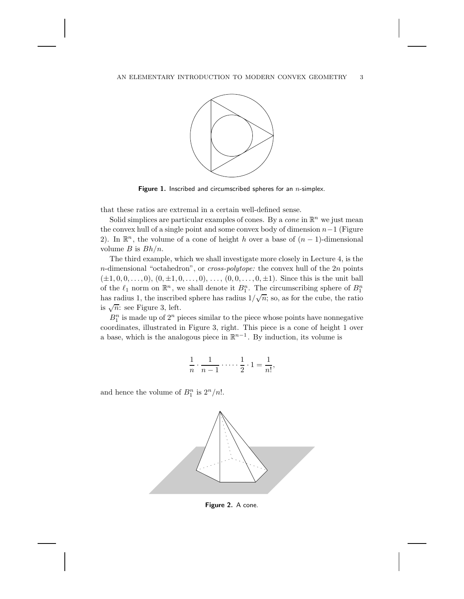

Figure 1. Inscribed and circumscribed spheres for an *n*-simplex.

that these ratios are extremal in a certain well-defined sense.

Solid simplices are particular examples of cones. By a *cone* in  $\mathbb{R}^n$  we just mean the convex hull of a single point and some convex body of dimension  $n-1$  (Figure 2). In  $\mathbb{R}^n$ , the volume of a cone of height h over a base of  $(n-1)$ -dimensional volume  $B$  is  $Bh/n$ .

The third example, which we shall investigate more closely in Lecture 4, is the n-dimensional "octahedron", or *cross-polytope:* the convex hull of the 2n points  $(\pm 1, 0, 0, \ldots, 0), (0, \pm 1, 0, \ldots, 0), \ldots, (0, 0, \ldots, 0, \pm 1).$  Since this is the unit ball of the  $\ell_1$  norm on  $\mathbb{R}^n$ , we shall denote it  $B_1^n$ . The circumscribing sphere of  $B_1^n$ has radius 1, the inscribed sphere has radius  $1/\sqrt{n}$ ; so, as for the cube, the ratio is  $\sqrt{n}$ : see Figure 3, left.

 $B_1^n$  is made up of  $2^n$  pieces similar to the piece whose points have nonnegative coordinates, illustrated in Figure 3, right. This piece is a cone of height 1 over a base, which is the analogous piece in  $\mathbb{R}^{n-1}$ . By induction, its volume is

$$
\frac{1}{n} \cdot \frac{1}{n-1} \cdot \dots \cdot \frac{1}{2} \cdot 1 = \frac{1}{n!},
$$

and hence the volume of  $B_1^n$  is  $2^n/n!$ .



**Figure 2.** A cone.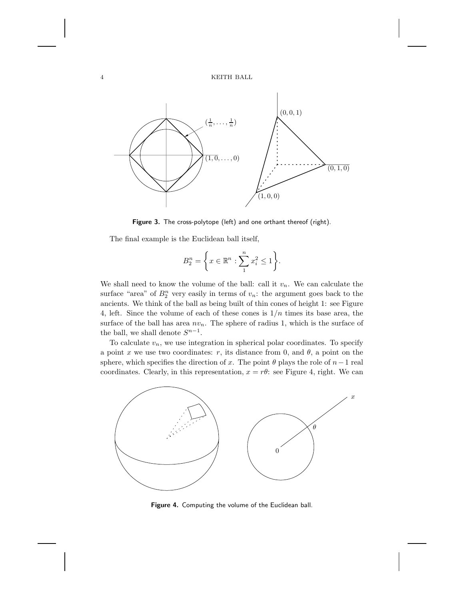

Figure 3. The cross-polytope (left) and one orthant thereof (right).

The final example is the Euclidean ball itself,

$$
B_2^n = \left\{ x \in \mathbb{R}^n : \sum_{1}^n x_i^2 \le 1 \right\}.
$$

We shall need to know the volume of the ball: call it  $v_n$ . We can calculate the surface "area" of  $B_2^n$  very easily in terms of  $v_n$ : the argument goes back to the ancients. We think of the ball as being built of thin cones of height 1: see Figure 4, left. Since the volume of each of these cones is  $1/n$  times its base area, the surface of the ball has area  $nv_n$ . The sphere of radius 1, which is the surface of the ball, we shall denote  $S^{n-1}$ .

To calculate  $v_n$ , we use integration in spherical polar coordinates. To specify a point x we use two coordinates: r, its distance from 0, and  $\theta$ , a point on the sphere, which specifies the direction of x. The point  $\theta$  plays the role of  $n-1$  real coordinates. Clearly, in this representation,  $x = r\theta$ : see Figure 4, right. We can



**Figure 4.** Computing the volume of the Euclidean ball.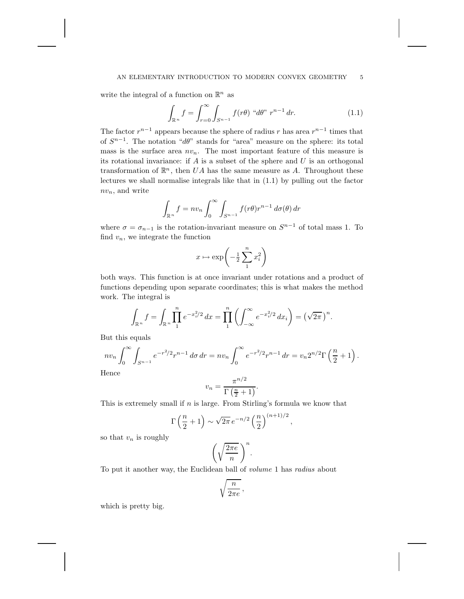### AN ELEMENTARY INTRODUCTION TO MODERN CONVEX GEOMETRY 5

write the integral of a function on  $\mathbb{R}^n$  as

$$
\int_{\mathbb{R}^n} f = \int_{r=0}^{\infty} \int_{S^{n-1}} f(r\theta) \, ^\alpha d\theta \, ^r \, r^{n-1} \, dr. \tag{1.1}
$$

The factor  $r^{n-1}$  appears because the sphere of radius r has area  $r^{n-1}$  times that of  $S^{n-1}$ . The notation "dθ" stands for "area" measure on the sphere: its total mass is the surface area  $nv_n$ . The most important feature of this measure is its rotational invariance: if  $A$  is a subset of the sphere and  $U$  is an orthogonal transformation of  $\mathbb{R}^n$ , then UA has the same measure as A. Throughout these lectures we shall normalise integrals like that in (1.1) by pulling out the factor  $nv_n$ , and write

$$
\int_{\mathbb{R}^n} f = n v_n \int_0^\infty \int_{S^{n-1}} f(r\theta) r^{n-1} d\sigma(\theta) dr
$$

where  $\sigma = \sigma_{n-1}$  is the rotation-invariant measure on  $S^{n-1}$  of total mass 1. To find  $v_n$ , we integrate the function

$$
x\mapsto \exp\!\left(-\frac{1}{2}\sum_1^n x_i^2\right)
$$

both ways. This function is at once invariant under rotations and a product of functions depending upon separate coordinates; this is what makes the method work. The integral is

$$
\int_{\mathbb{R}^n} f = \int_{\mathbb{R}^n} \prod_{1}^n e^{-x_i^2/2} dx = \prod_{1}^n \left( \int_{-\infty}^{\infty} e^{-x_i^2/2} dx_i \right) = \left( \sqrt{2\pi} \right)^n.
$$

But this equals

$$
nv_n \int_0^{\infty} \int_{S^{n-1}} e^{-r^2/2} r^{n-1} d\sigma dr = nv_n \int_0^{\infty} e^{-r^2/2} r^{n-1} dr = v_n 2^{n/2} \Gamma\left(\frac{n}{2} + 1\right).
$$

Hence

$$
v_n = \frac{\pi^{n/2}}{\Gamma(\frac{n}{2} + 1)}.
$$

This is extremely small if  $n$  is large. From Stirling's formula we know that

$$
\Gamma\left(\frac{n}{2}+1\right) \sim \sqrt{2\pi} \, e^{-n/2} \left(\frac{n}{2}\right)^{(n+1)/2},
$$

so that  $v_n$  is roughly

$$
\left(\sqrt{\frac{2\pi e}{n}}\,\right)^n.
$$

To put it another way, the Euclidean ball of *volume* 1 has *radius* about

$$
\sqrt{\frac{n}{2\pi e}}\,,
$$

which is pretty big.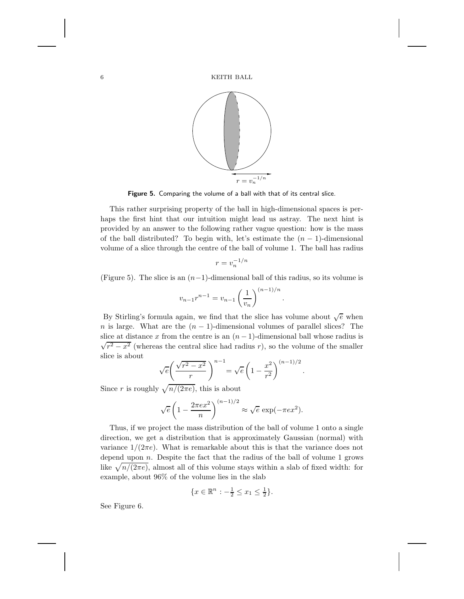

**Figure 5.** Comparing the volume of a ball with that of its central slice.

This rather surprising property of the ball in high-dimensional spaces is perhaps the first hint that our intuition might lead us astray. The next hint is provided by an answer to the following rather vague question: how is the mass of the ball distributed? To begin with, let's estimate the  $(n-1)$ -dimensional volume of a slice through the centre of the ball of volume 1. The ball has radius

$$
r = v_n^{-1/n}
$$

(Figure 5). The slice is an  $(n-1)$ -dimensional ball of this radius, so its volume is

$$
v_{n-1}r^{n-1} = v_{n-1} \left(\frac{1}{v_n}\right)^{(n-1)/n}
$$

.

By Stirling's formula again, we find that the slice has volume about  $\sqrt{e}$  when n is large. What are the  $(n - 1)$ -dimensional volumes of parallel slices? The slice at distance x from the centre is an  $(n-1)$ -dimensional ball whose radius is  $\sqrt{r^2 - x^2}$  (whereas the central slice had radius r), so the volume of the smaller slice is about

$$
\sqrt{e}\left(\frac{\sqrt{r^2-x^2}}{r}\right)^{n-1} = \sqrt{e}\left(1-\frac{x^2}{r^2}\right)^{(n-1)/2}.
$$

Since r is roughly  $\sqrt{n/(2\pi e)}$ , this is about

$$
\sqrt{e}\left(1-\frac{2\pi e x^2}{n}\right)^{(n-1)/2} \approx \sqrt{e} \exp(-\pi e x^2).
$$

Thus, if we project the mass distribution of the ball of volume 1 onto a single direction, we get a distribution that is approximately Gaussian (normal) with variance  $1/(2\pi e)$ . What is remarkable about this is that the variance does not depend upon  $n$ . Despite the fact that the radius of the ball of volume 1 grows like  $\sqrt{n/(2\pi e)}$ , almost all of this volume stays within a slab of fixed width: for example, about 96% of the volume lies in the slab

$$
\{x \in \mathbb{R}^n : -\frac{1}{2} \le x_1 \le \frac{1}{2}\}.
$$

See Figure 6.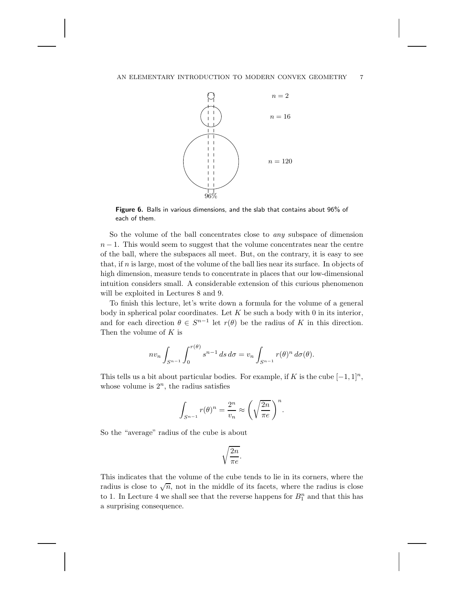

**Figure 6.** Balls in various dimensions, and the slab that contains about 96% of each of them.

So the volume of the ball concentrates close to *any* subspace of dimension  $n-1$ . This would seem to suggest that the volume concentrates near the centre of the ball, where the subspaces all meet. But, on the contrary, it is easy to see that, if n is large, most of the volume of the ball lies near its surface. In objects of high dimension, measure tends to concentrate in places that our low-dimensional intuition considers small. A considerable extension of this curious phenomenon will be exploited in Lectures 8 and 9.

To finish this lecture, let's write down a formula for the volume of a general body in spherical polar coordinates. Let  $K$  be such a body with 0 in its interior, and for each direction  $\theta \in S^{n-1}$  let  $r(\theta)$  be the radius of K in this direction. Then the volume of  $K$  is

$$
nv_n \int_{S^{n-1}} \int_0^{r(\theta)} s^{n-1} ds d\sigma = v_n \int_{S^{n-1}} r(\theta)^n d\sigma(\theta).
$$

This tells us a bit about particular bodies. For example, if K is the cube  $[-1, 1]^n$ , whose volume is  $2^n$ , the radius satisfies

$$
\int_{S^{n-1}} r(\theta)^n = \frac{2^n}{v_n} \approx \left(\sqrt{\frac{2n}{\pi e}}\right)^n.
$$

So the "average" radius of the cube is about

$$
\sqrt{\frac{2n}{\pi e}}.
$$

This indicates that the volume of the cube tends to lie in its corners, where the radius is close to  $\sqrt{n}$ , not in the middle of its facets, where the radius is close to 1. In Lecture 4 we shall see that the reverse happens for  $B_1^n$  and that this has a surprising consequence.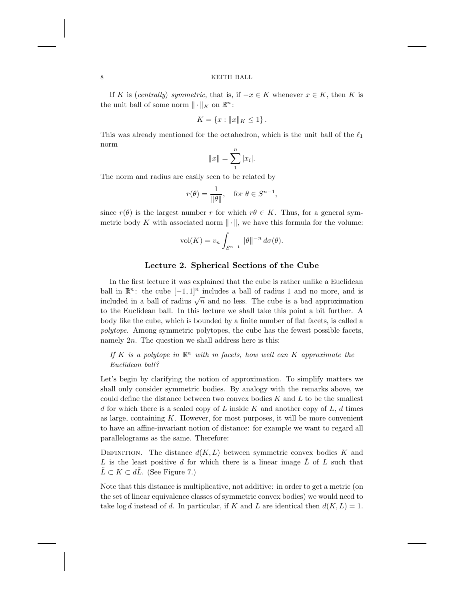If K is (*centrally*) *symmetric*, that is, if  $-x \in K$  whenever  $x \in K$ , then K is the unit ball of some norm  $\|\cdot\|_K$  on  $\mathbb{R}^n$ :

$$
K = \{x : ||x||_K \le 1\}.
$$

This was already mentioned for the octahedron, which is the unit ball of the  $\ell_1$ norm

$$
||x|| = \sum_{1}^{n} |x_i|.
$$

The norm and radius are easily seen to be related by

$$
r(\theta) = \frac{1}{\|\theta\|}, \quad \text{for } \theta \in S^{n-1},
$$

since  $r(\theta)$  is the largest number r for which  $r\theta \in K$ . Thus, for a general symmetric body K with associated norm  $\|\cdot\|$ , we have this formula for the volume:

$$
\text{vol}(K) = v_n \int_{S^{n-1}} \|\theta\|^{-n} d\sigma(\theta).
$$

# **Lecture 2. Spherical Sections of the Cube**

In the first lecture it was explained that the cube is rather unlike a Euclidean ball in  $\mathbb{R}^n$ : the cube  $[-1, 1]^n$  includes a ball of radius 1 and no more, and is included in a ball of radius  $\sqrt{n}$  and no less. The cube is a bad approximation to the Euclidean ball. In this lecture we shall take this point a bit further. A body like the cube, which is bounded by a finite number of flat facets, is called a *polytope*. Among symmetric polytopes, the cube has the fewest possible facets, namely  $2n$ . The question we shall address here is this:

If K is a polytope in  $\mathbb{R}^n$  with m facets, how well can K approximate the *Euclidean ball?*

Let's begin by clarifying the notion of approximation. To simplify matters we shall only consider symmetric bodies. By analogy with the remarks above, we could define the distance between two convex bodies  $K$  and  $L$  to be the smallest d for which there is a scaled copy of L inside K and another copy of L, d times as large, containing  $K$ . However, for most purposes, it will be more convenient to have an affine-invariant notion of distance: for example we want to regard all parallelograms as the same. Therefore:

DEFINITION. The distance  $d(K, L)$  between symmetric convex bodies K and L is the least positive d for which there is a linear image  $\tilde{L}$  of L such that  $\tilde{L} \subset K \subset d\tilde{L}$ . (See Figure 7.)

Note that this distance is multiplicative, not additive: in order to get a metric (on the set of linear equivalence classes of symmetric convex bodies) we would need to take log d instead of d. In particular, if K and L are identical then  $d(K, L) = 1$ .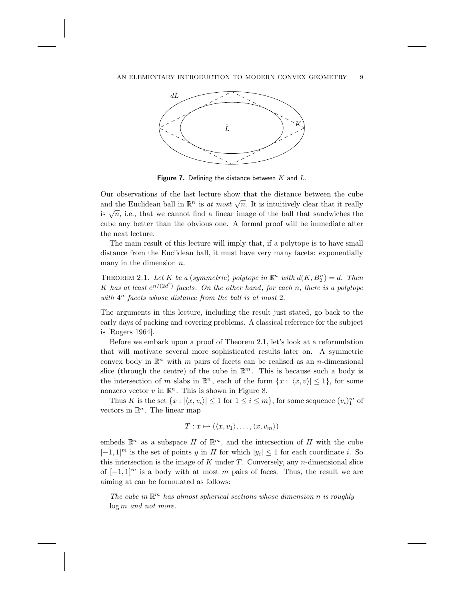

Figure 7. Defining the distance between K and L.

Our observations of the last lecture show that the distance between the cube and the Euclidean ball in  $\mathbb{R}^n$  is *at most*  $\sqrt{n}$ . It is intuitively clear that it really is  $\sqrt{n}$ , i.e., that we cannot find a linear image of the ball that sandwiches the cube any better than the obvious one. A formal proof will be immediate after the next lecture.

The main result of this lecture will imply that, if a polytope is to have small distance from the Euclidean ball, it must have very many facets: exponentially many in the dimension  $n$ .

THEOREM 2.1. Let K be a (symmetric) polytope in  $\mathbb{R}^n$  with  $d(K, B_2^n) = d$ . Then K has at least  $e^{n/(2d^2)}$  facets. On the other hand, for each n, there is a polytope *with* 4<sup>n</sup> *facets whose distance from the ball is at most* 2.

The arguments in this lecture, including the result just stated, go back to the early days of packing and covering problems. A classical reference for the subject is [Rogers 1964].

Before we embark upon a proof of Theorem 2.1, let's look at a reformulation that will motivate several more sophisticated results later on. A symmetric convex body in  $\mathbb{R}^n$  with m pairs of facets can be realised as an n-dimensional slice (through the centre) of the cube in  $\mathbb{R}^m$ . This is because such a body is the intersection of m slabs in  $\mathbb{R}^n$ , each of the form  $\{x : |\langle x, v \rangle| \leq 1\}$ , for some nonzero vector v in  $\mathbb{R}^n$ . This is shown in Figure 8.

Thus K is the set  $\{x : |\langle x, v_i \rangle| \leq 1 \text{ for } 1 \leq i \leq m\}$ , for some sequence  $(v_i)_1^m$  of vectors in  $\mathbb{R}^n$ . The linear map

$$
T: x \mapsto (\langle x, v_1 \rangle, \dots, \langle x, v_m \rangle)
$$

embeds  $\mathbb{R}^n$  as a subspace H of  $\mathbb{R}^m$ , and the intersection of H with the cube  $[-1, 1]^m$  is the set of points y in H for which  $|y_i| \leq 1$  for each coordinate i. So this intersection is the image of  $K$  under  $T$ . Conversely, any  $n$ -dimensional slice of  $[-1, 1]^m$  is a body with at most m pairs of faces. Thus, the result we are aiming at can be formulated as follows:

*The cube in*  $\mathbb{R}^m$  *has almost spherical sections whose dimension n is roughly* log m *and not more.*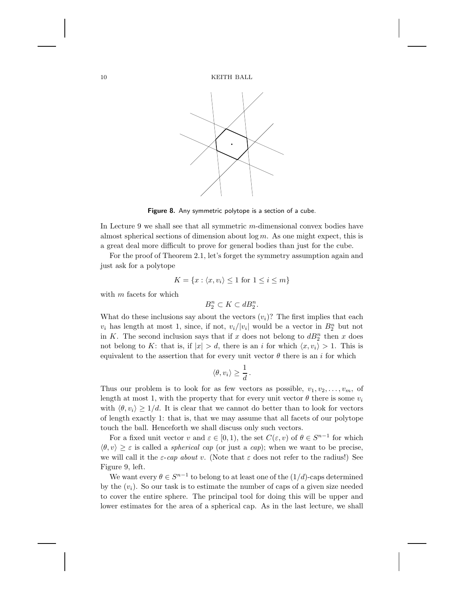

**Figure 8.** Any symmetric polytope is a section of a cube.

In Lecture 9 we shall see that all symmetric m-dimensional convex bodies have almost spherical sections of dimension about  $\log m$ . As one might expect, this is a great deal more difficult to prove for general bodies than just for the cube.

For the proof of Theorem 2.1, let's forget the symmetry assumption again and just ask for a polytope

$$
K = \{x : \langle x, v_i \rangle \le 1 \text{ for } 1 \le i \le m\}
$$

with  $m$  facets for which

$$
B_2^n \subset K \subset dB_2^n.
$$

What do these inclusions say about the vectors  $(v_i)$ ? The first implies that each  $v_i$  has length at most 1, since, if not,  $v_i/|v_i|$  would be a vector in  $B_2^n$  but not in K. The second inclusion says that if x does not belong to  $dB_2^n$  then x does not belong to K: that is, if  $|x| > d$ , there is an i for which  $\langle x, v_i \rangle > 1$ . This is equivalent to the assertion that for every unit vector  $\theta$  there is an i for which

$$
\langle \theta, v_i \rangle \ge \frac{1}{d} \, .
$$

Thus our problem is to look for as few vectors as possible,  $v_1, v_2, \ldots, v_m$ , of length at most 1, with the property that for every unit vector  $\theta$  there is some  $v_i$ with  $\langle \theta, v_i \rangle \geq 1/d$ . It is clear that we cannot do better than to look for vectors of length exactly 1: that is, that we may assume that all facets of our polytope touch the ball. Henceforth we shall discuss only such vectors.

For a fixed unit vector v and  $\varepsilon \in [0,1)$ , the set  $C(\varepsilon, v)$  of  $\theta \in S^{n-1}$  for which  $\langle \theta, v \rangle \geq \varepsilon$  is called a *spherical cap* (or just a *cap*); when we want to be precise, we will call it the  $\varepsilon$ -*cap about* v. (Note that  $\varepsilon$  does not refer to the radius!) See Figure 9, left.

We want every  $\theta \in S^{n-1}$  to belong to at least one of the  $(1/d)$ -caps determined by the  $(v_i)$ . So our task is to estimate the number of caps of a given size needed to cover the entire sphere. The principal tool for doing this will be upper and lower estimates for the area of a spherical cap. As in the last lecture, we shall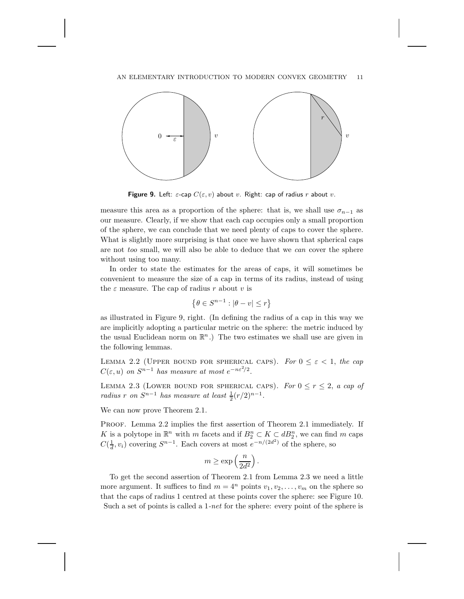### AN ELEMENTARY INTRODUCTION TO MODERN CONVEX GEOMETRY 11



**Figure 9.** Left:  $\varepsilon$ -cap  $C(\varepsilon, v)$  about v. Right: cap of radius r about v.

measure this area as a proportion of the sphere: that is, we shall use  $\sigma_{n-1}$  as our measure. Clearly, if we show that each cap occupies only a small proportion of the sphere, we can conclude that we need plenty of caps to cover the sphere. What is slightly more surprising is that once we have shown that spherical caps are not *too* small, we will also be able to deduce that we *can* cover the sphere without using too many.

In order to state the estimates for the areas of caps, it will sometimes be convenient to measure the size of a cap in terms of its radius, instead of using the  $\varepsilon$  measure. The cap of radius r about v is

$$
\left\{\theta \in S^{n-1} : |\theta - v| \le r\right\}
$$

as illustrated in Figure 9, right. (In defining the radius of a cap in this way we are implicitly adopting a particular metric on the sphere: the metric induced by the usual Euclidean norm on  $\mathbb{R}^n$ .) The two estimates we shall use are given in the following lemmas.

LEMMA 2.2 (UPPER BOUND FOR SPHERICAL CAPS). For  $0 \leq \varepsilon < 1$ , the cap  $C(\varepsilon, u)$  on  $S^{n-1}$  has measure at most  $e^{-n\varepsilon^2/2}$ .

LEMMA 2.3 (LOWER BOUND FOR SPHERICAL CAPS). For  $0 \le r \le 2$ , *a cap of radius r on*  $S^{n-1}$  *has measure at least*  $\frac{1}{2}(r/2)^{n-1}$ .

We can now prove Theorem 2.1.

PROOF. Lemma 2.2 implies the first assertion of Theorem 2.1 immediately. If K is a polytope in  $\mathbb{R}^n$  with m facets and if  $B_2^n \subset K \subset dB_2^n$ , we can find m caps  $C(\frac{1}{d}, v_i)$  covering  $S^{n-1}$ . Each covers at most  $e^{-n/(2d^2)}$  of the sphere, so

$$
m \ge \exp\left(\frac{n}{2d^2}\right).
$$

To get the second assertion of Theorem 2.1 from Lemma 2.3 we need a little more argument. It suffices to find  $m = 4^n$  points  $v_1, v_2, \ldots, v_m$  on the sphere so that the caps of radius 1 centred at these points cover the sphere: see Figure 10. Such a set of points is called a 1*-net* for the sphere: every point of the sphere is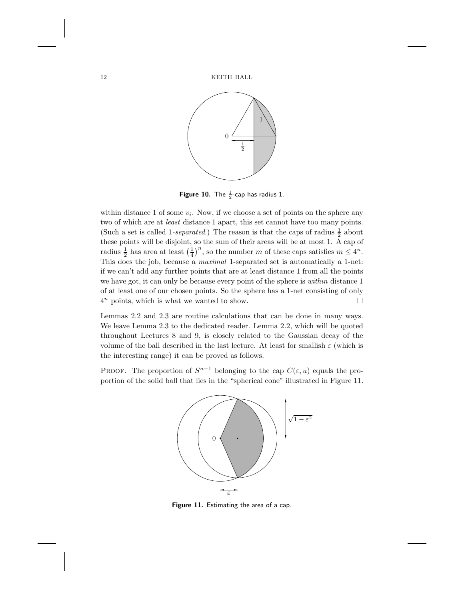

**Figure 10.** The  $\frac{1}{2}$ -cap has radius 1.

within distance 1 of some  $v_i$ . Now, if we choose a set of points on the sphere any two of which are at *least* distance 1 apart, this set cannot have too many points. (Such a set is called 1-*separated*.) The reason is that the caps of radius  $\frac{1}{2}$  about these points will be disjoint, so the sum of their areas will be at most 1. A cap of radius  $\frac{1}{2}$  has area at least  $(\frac{1}{4})^n$ , so the number m of these caps satisfies  $m \leq 4^n$ . This does the job, because a *maximal* 1-separated set is automatically a 1-net: if we can't add any further points that are at least distance 1 from all the points we have got, it can only be because every point of the sphere is *within* distance 1 of at least one of our chosen points. So the sphere has a 1-net consisting of only  $4^n$  points, which is what we wanted to show.

Lemmas 2.2 and 2.3 are routine calculations that can be done in many ways. We leave Lemma 2.3 to the dedicated reader. Lemma 2.2, which will be quoted throughout Lectures 8 and 9, is closely related to the Gaussian decay of the volume of the ball described in the last lecture. At least for smallish  $\varepsilon$  (which is the interesting range) it can be proved as follows.

PROOF. The proportion of  $S^{n-1}$  belonging to the cap  $C(\varepsilon, u)$  equals the proportion of the solid ball that lies in the "spherical cone" illustrated in Figure 11.



**Figure 11.** Estimating the area of a cap.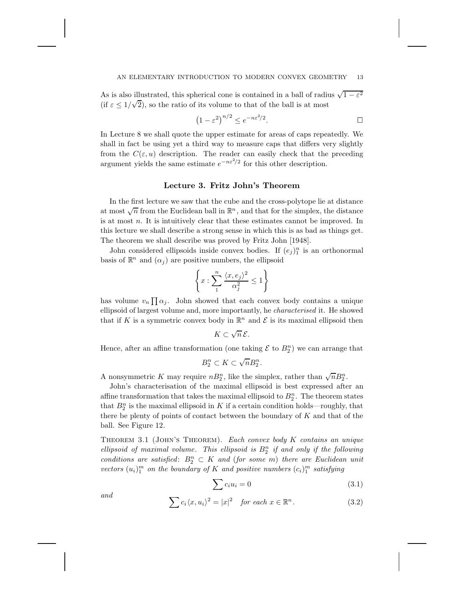### AN ELEMENTARY INTRODUCTION TO MODERN CONVEX GEOMETRY 13

As is also illustrated, this spherical cone is contained in a ball of radius  $\sqrt{1-\varepsilon^2}$ (if  $\varepsilon \leq 1/\sqrt{2}$ ), so the ratio of its volume to that of the ball is at most

$$
(1 - \varepsilon^2)^{n/2} \le e^{-n\varepsilon^2/2}.
$$

In Lecture 8 we shall quote the upper estimate for areas of caps repeatedly. We shall in fact be using yet a third way to measure caps that differs very slightly from the  $C(\varepsilon, u)$  description. The reader can easily check that the preceding argument yields the same estimate  $e^{-n\varepsilon^2/2}$  for this other description.

### **Lecture 3. Fritz John's Theorem**

In the first lecture we saw that the cube and the cross-polytope lie at distance at most  $\sqrt{n}$  from the Euclidean ball in  $\mathbb{R}^n$ , and that for the simplex, the distance is at most n. It is intuitively clear that these estimates cannot be improved. In this lecture we shall describe a strong sense in which this is as bad as things get. The theorem we shall describe was proved by Fritz John [1948].

John considered ellipsoids inside convex bodies. If  $(e_j)_1^n$  is an orthonormal basis of  $\mathbb{R}^n$  and  $(\alpha_i)$  are positive numbers, the ellipsoid

$$
\left\{x: \sum_1^n \frac{\langle x, e_j \rangle^2}{\alpha_j^2} \leq 1\right\}
$$

has volume  $v_n \prod \alpha_j$ . John showed that each convex body contains a unique ellipsoid of largest volume and, more importantly, he *characterised* it. He showed that if K is a symmetric convex body in  $\mathbb{R}^n$  and E is its maximal ellipsoid then

$$
K\subset \sqrt{n}\,\mathcal{E}.
$$

Hence, after an affine transformation (one taking  $\mathcal{E}$  to  $B_2^n$ ) we can arrange that

$$
B_2^n \subset K \subset \sqrt{n}B_2^n.
$$

A nonsymmetric K may require  $nB_2^n$ , like the simplex, rather than  $\sqrt{n}B_2^n$ .

John's characterisation of the maximal ellipsoid is best expressed after an affine transformation that takes the maximal ellipsoid to  $B_2^n$ . The theorem states that  $B_2^n$  is the maximal ellipsoid in K if a certain condition holds—roughly, that there be plenty of points of contact between the boundary of  $K$  and that of the ball. See Figure 12.

Theorem 3.1 (John's Theorem). *Each convex body* K *contains an unique*  $ellipsoid$  of maximal volume. This ellipsoid is  $B_2^n$  if and only if the following  $conditions$  are satisfied:  $B_2^n \subset K$  and (for some m) there are Euclidean unit *vectors*  $(u_i)_1^m$  *on the boundary of* K *and positive numbers*  $(c_i)_1^m$  *satisfying* 

$$
\sum c_i u_i = 0 \tag{3.1}
$$

and 
$$
\sum c_i \langle x, u_i \rangle^2 = |x|^2 \quad \text{for each } x \in \mathbb{R}^n. \tag{3.2}
$$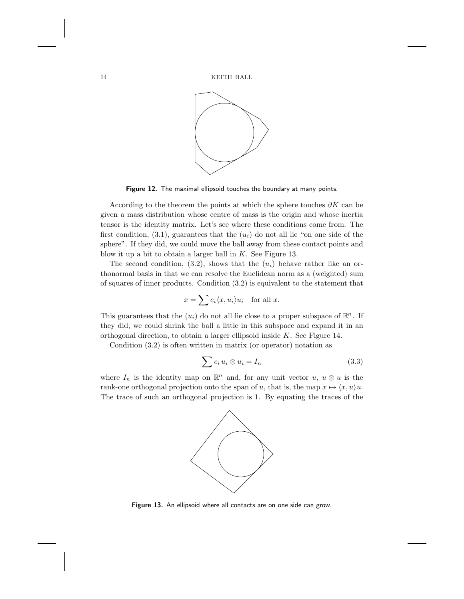

**Figure 12.** The maximal ellipsoid touches the boundary at many points.

According to the theorem the points at which the sphere touches  $\partial K$  can be given a mass distribution whose centre of mass is the origin and whose inertia tensor is the identity matrix. Let's see where these conditions come from. The first condition,  $(3.1)$ , guarantees that the  $(u_i)$  do not all lie "on one side of the sphere". If they did, we could move the ball away from these contact points and blow it up a bit to obtain a larger ball in  $K$ . See Figure 13.

The second condition,  $(3.2)$ , shows that the  $(u_i)$  behave rather like an orthonormal basis in that we can resolve the Euclidean norm as a (weighted) sum of squares of inner products. Condition (3.2) is equivalent to the statement that

$$
x = \sum c_i \langle x, u_i \rangle u_i \quad \text{for all } x.
$$

This guarantees that the  $(u_i)$  do not all lie close to a proper subspace of  $\mathbb{R}^n$ . If they did, we could shrink the ball a little in this subspace and expand it in an orthogonal direction, to obtain a larger ellipsoid inside K. See Figure 14.

Condition (3.2) is often written in matrix (or operator) notation as

$$
\sum c_i u_i \otimes u_i = I_n \tag{3.3}
$$

where  $I_n$  is the identity map on  $\mathbb{R}^n$  and, for any unit vector  $u, u \otimes u$  is the rank-one orthogonal projection onto the span of u, that is, the map  $x \mapsto \langle x, u \rangle u$ . The trace of such an orthogonal projection is 1. By equating the traces of the



**Figure 13.** An ellipsoid where all contacts are on one side can grow.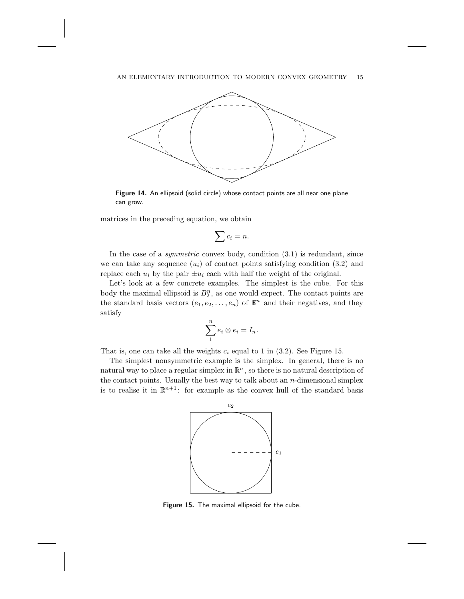

**Figure 14.** An ellipsoid (solid circle) whose contact points are all near one plane can grow.

matrices in the preceding equation, we obtain

$$
\sum c_i = n.
$$

In the case of a *symmetric* convex body, condition (3.1) is redundant, since we can take any sequence  $(u_i)$  of contact points satisfying condition (3.2) and replace each  $u_i$  by the pair  $\pm u_i$  each with half the weight of the original.

Let's look at a few concrete examples. The simplest is the cube. For this body the maximal ellipsoid is  $B_2^n$ , as one would expect. The contact points are the standard basis vectors  $(e_1, e_2, \ldots, e_n)$  of  $\mathbb{R}^n$  and their negatives, and they satisfy

$$
\sum_{1}^{n}e_{i}\otimes e_{i}=I_{n}.
$$

That is, one can take all the weights  $c_i$  equal to 1 in (3.2). See Figure 15.

The simplest nonsymmetric example is the simplex. In general, there is no natural way to place a regular simplex in  $\mathbb{R}^n$ , so there is no natural description of the contact points. Usually the best way to talk about an  $n$ -dimensional simplex is to realise it in  $\mathbb{R}^{n+1}$ : for example as the convex hull of the standard basis



**Figure 15.** The maximal ellipsoid for the cube.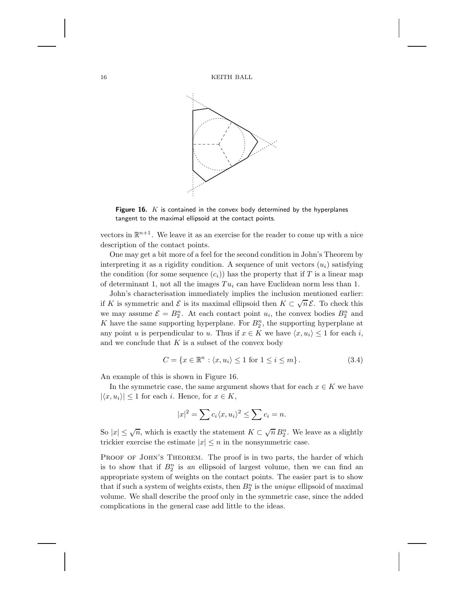16 KEITH BALL



**Figure 16.** K is contained in the convex body determined by the hyperplanes tangent to the maximal ellipsoid at the contact points.

vectors in  $\mathbb{R}^{n+1}$ . We leave it as an exercise for the reader to come up with a nice description of the contact points.

One may get a bit more of a feel for the second condition in John's Theorem by interpreting it as a rigidity condition. A sequence of unit vectors  $(u_i)$  satisfying the condition (for some sequence  $(c_i)$ ) has the property that if T is a linear map of determinant 1, not all the images  $Tu_i$  can have Euclidean norm less than 1.

John's characterisation immediately implies the inclusion mentioned earlier: if K is symmetric and  $\mathcal E$  is its maximal ellipsoid then  $K \subset \sqrt{n} \mathcal E$ . To check this we may assume  $\mathcal{E} = B_2^n$ . At each contact point  $u_i$ , the convex bodies  $B_2^n$  and K have the same supporting hyperplane. For  $B_2^n$ , the supporting hyperplane at any point u is perpendicular to u. Thus if  $x \in K$  we have  $\langle x, u_i \rangle \leq 1$  for each i, and we conclude that  $K$  is a subset of the convex body

$$
C = \{x \in \mathbb{R}^n : \langle x, u_i \rangle \le 1 \text{ for } 1 \le i \le m\}.
$$
\n(3.4)

An example of this is shown in Figure 16.

In the symmetric case, the same argument shows that for each  $x \in K$  we have  $|\langle x, u_i \rangle| \leq 1$  for each i. Hence, for  $x \in K$ ,

$$
|x|^2 = \sum c_i \langle x, u_i \rangle^2 \le \sum c_i = n.
$$

So  $|x| \leq \sqrt{n}$ , which is exactly the statement  $K \subset \sqrt{n} B_2^n$ . We leave as a slightly trickier exercise the estimate  $|x| \leq n$  in the nonsymmetric case.

PROOF OF JOHN'S THEOREM. The proof is in two parts, the harder of which is to show that if  $B_2^n$  is an ellipsoid of largest volume, then we can find an appropriate system of weights on the contact points. The easier part is to show that if such a system of weights exists, then  $B_2^n$  is the *unique* ellipsoid of maximal volume. We shall describe the proof only in the symmetric case, since the added complications in the general case add little to the ideas.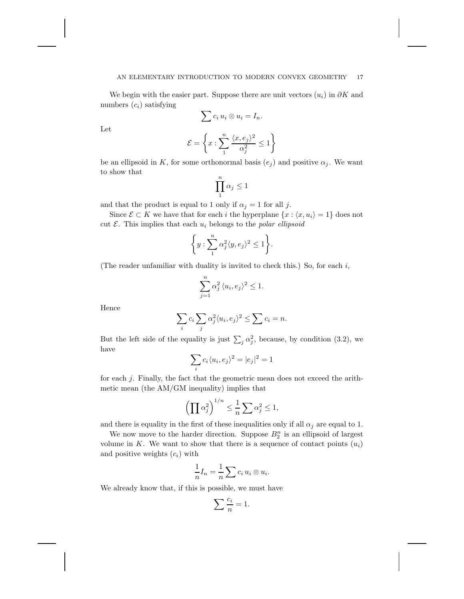We begin with the easier part. Suppose there are unit vectors  $(u_i)$  in  $\partial K$  and numbers  $(c_i)$  satisfying

$$
\sum c_i u_i \otimes u_i = I_n.
$$

Let

$$
\mathcal{E} = \left\{ x : \sum_{1}^{n} \frac{\langle x, e_j \rangle^2}{\alpha_j^2} \le 1 \right\}
$$

be an ellipsoid in K, for some orthonormal basis  $(e_i)$  and positive  $\alpha_i$ . We want to show that

$$
\prod_1^n \alpha_j \leq 1
$$

and that the product is equal to 1 only if  $\alpha_i = 1$  for all j.

Since  $\mathcal{E} \subset K$  we have that for each i the hyperplane  $\{x : \langle x, u_i \rangle = 1\}$  does not cut  $\mathcal E$ . This implies that each  $u_i$  belongs to the *polar ellipsoid* 

$$
\bigg\{y:\sum_1^n\alpha_j^2\langle y,e_j\rangle^2\leq 1\bigg\}.
$$

(The reader unfamiliar with duality is invited to check this.) So, for each  $i$ ,

$$
\sum_{j=1}^{n} \alpha_j^2 \langle u_i, e_j \rangle^2 \le 1.
$$

Hence

$$
\sum_{i} c_i \sum_{j} \alpha_j^2 \langle u_i, e_j \rangle^2 \le \sum_{i} c_i = n.
$$

But the left side of the equality is just  $\sum_i \alpha_i^2$ , because, by condition (3.2), we have

$$
\sum_i c_i \langle u_i, e_j \rangle^2 = |e_j|^2 = 1
$$

for each j. Finally, the fact that the geometric mean does not exceed the arithmetic mean (the AM/GM inequality) implies that

$$
\left(\prod \alpha_j^2\right)^{1/n} \le \frac{1}{n} \sum \alpha_j^2 \le 1,
$$

and there is equality in the first of these inequalities only if all  $\alpha_i$  are equal to 1.

We now move to the harder direction. Suppose  $B_2^n$  is an ellipsoid of largest volume in K. We want to show that there is a sequence of contact points  $(u_i)$ and positive weights  $(c_i)$  with

$$
\frac{1}{n}I_n = \frac{1}{n} \sum c_i u_i \otimes u_i.
$$

We already know that, if this is possible, we must have

$$
\sum \frac{c_i}{n} = 1.
$$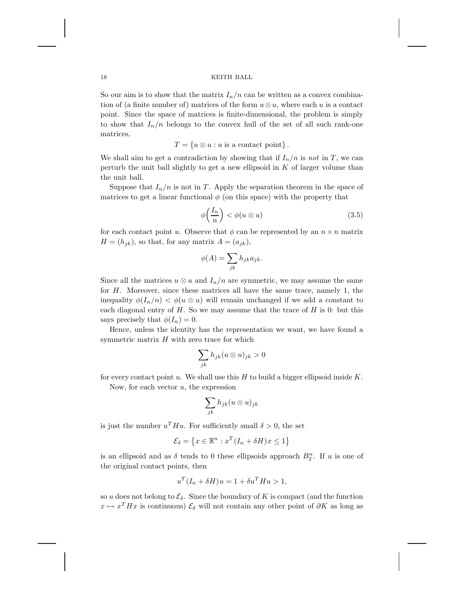So our aim is to show that the matrix  $I_n/n$  can be written as a convex combination of (a finite number of) matrices of the form  $u \otimes u$ , where each u is a contact point. Since the space of matrices is finite-dimensional, the problem is simply to show that  $I_n/n$  belongs to the convex hull of the set of all such rank-one matrices,

$$
T = \{u \otimes u : u \text{ is a contact point}\}.
$$

We shall aim to get a contradiction by showing that if  $I_n/n$  is *not* in T, we can perturb the unit ball slightly to get a new ellipsoid in  $K$  of larger volume than the unit ball.

Suppose that  $I_n/n$  is not in T. Apply the separation theorem in the space of matrices to get a linear functional  $\phi$  (on this space) with the property that

$$
\phi\left(\frac{I_n}{n}\right) < \phi(u \otimes u) \tag{3.5}
$$

for each contact point u. Observe that  $\phi$  can be represented by an  $n \times n$  matrix  $H = (h_{ik})$ , so that, for any matrix  $A = (a_{ik})$ ,

$$
\phi(A) = \sum_{jk} h_{jk} a_{jk}.
$$

Since all the matrices  $u \otimes u$  and  $I_n/n$  are symmetric, we may assume the same for H. Moreover, since these matrices all have the same trace, namely 1, the inequality  $\phi(I_n/n) < \phi(u \otimes u)$  will remain unchanged if we add a constant to each diagonal entry of  $H$ . So we may assume that the trace of  $H$  is 0: but this says precisely that  $\phi(I_n) = 0$ .

Hence, unless the identity has the representation we want, we have found a symmetric matrix  $H$  with zero trace for which

$$
\sum_{jk} h_{jk} (u \otimes u)_{jk} > 0
$$

for every contact point u. We shall use this H to build a bigger ellipsoid inside  $K$ . Now, for each vector  $u$ , the expression

$$
\sum_{jk} h_{jk} (u \otimes u)_{jk}
$$

is just the number  $u<sup>T</sup> H u$ . For sufficiently small  $\delta > 0$ , the set

$$
\mathcal{E}_{\delta} = \left\{ x \in \mathbb{R}^n : x^T (I_n + \delta H) x \le 1 \right\}
$$

is an ellipsoid and as  $\delta$  tends to 0 these ellipsoids approach  $B_2^n$ . If u is one of the original contact points, then

$$
u^T(I_n + \delta H)u = 1 + \delta u^T Hu > 1,
$$

so u does not belong to  $\mathcal{E}_{\delta}$ . Since the boundary of K is compact (and the function  $x \mapsto x^T H x$  is continuous)  $\mathcal{E}_{\delta}$  will not contain any other point of  $\partial K$  as long as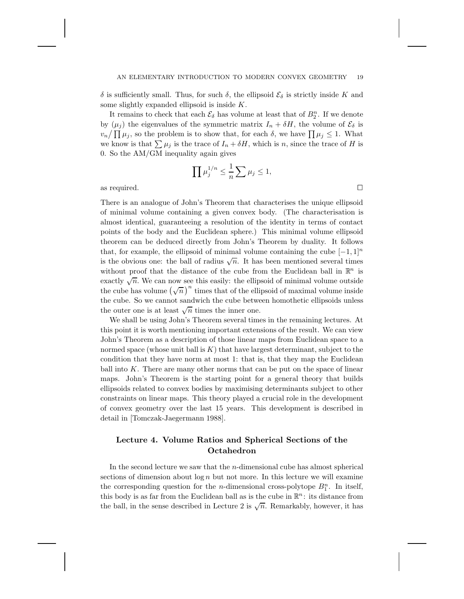δ is sufficiently small. Thus, for such δ, the ellipsoid  $\mathcal{E}_{\delta}$  is strictly inside K and some slightly expanded ellipsoid is inside  $K$ .

It remains to check that each  $\mathcal{E}_{\delta}$  has volume at least that of  $B_2^n$ . If we denote by  $(\mu_i)$  the eigenvalues of the symmetric matrix  $I_n + \delta H$ , the volume of  $\mathcal{E}_{\delta}$  is  $v_n / \prod \mu_j$ , so the problem is to show that, for each  $\delta$ , we have  $\prod \mu_j \leq 1$ . What we know is that  $\sum \mu_j$  is the trace of  $I_n + \delta H$ , which is n, since the trace of H is 0. So the AM/GM inequality again gives

$$
\prod \mu_j^{1/n} \leq \frac{1}{n} \sum \mu_j \leq 1,
$$
 as required.  $\Box$ 

There is an analogue of John's Theorem that characterises the unique ellipsoid of minimal volume containing a given convex body. (The characterisation is almost identical, guaranteeing a resolution of the identity in terms of contact points of the body and the Euclidean sphere.) This minimal volume ellipsoid theorem can be deduced directly from John's Theorem by duality. It follows that, for example, the ellipsoid of minimal volume containing the cube  $[-1, 1]^n$ is the obvious one: the ball of radius  $\sqrt{n}$ . It has been mentioned several times without proof that the distance of the cube from the Euclidean ball in  $\mathbb{R}^n$  is exactly  $\sqrt{n}$ . We can now see this easily: the ellipsoid of minimal volume outside the cube has volume  $(\sqrt{n})^n$  times that of the ellipsoid of maximal volume inside the cube. So we cannot sandwich the cube between homothetic ellipsoids unless the outer one is at least  $\sqrt{n}$  times the inner one.

We shall be using John's Theorem several times in the remaining lectures. At this point it is worth mentioning important extensions of the result. We can view John's Theorem as a description of those linear maps from Euclidean space to a normed space (whose unit ball is  $K$ ) that have largest determinant, subject to the condition that they have norm at most 1: that is, that they map the Euclidean ball into  $K$ . There are many other norms that can be put on the space of linear maps. John's Theorem is the starting point for a general theory that builds ellipsoids related to convex bodies by maximising determinants subject to other constraints on linear maps. This theory played a crucial role in the development of convex geometry over the last 15 years. This development is described in detail in [Tomczak-Jaegermann 1988].

# **Lecture 4. Volume Ratios and Spherical Sections of the Octahedron**

In the second lecture we saw that the  $n$ -dimensional cube has almost spherical sections of dimension about  $\log n$  but not more. In this lecture we will examine the corresponding question for the *n*-dimensional cross-polytope  $B_1^n$ . In itself, this body is as far from the Euclidean ball as is the cube in  $\mathbb{R}^n$ : its distance from the ball, in the sense described in Lecture 2 is  $\sqrt{n}$ . Remarkably, however, it has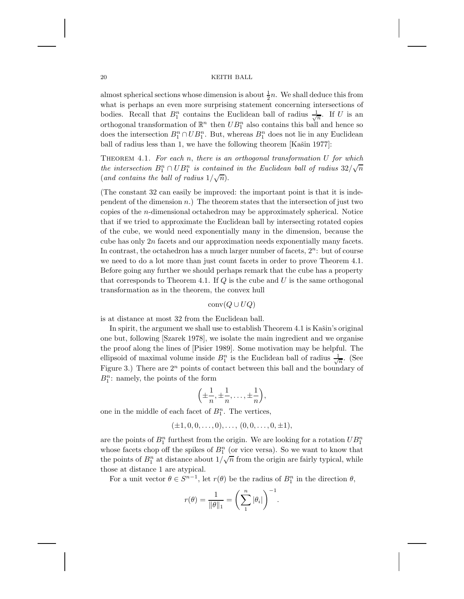almost spherical sections whose dimension is about  $\frac{1}{2}n$ . We shall deduce this from what is perhaps an even more surprising statement concerning intersections of bodies. Recall that  $B_1^n$  contains the Euclidean ball of radius  $\frac{1}{\sqrt{n}}$ . If U is an orthogonal transformation of  $\mathbb{R}^n$  then  $UB_1^n$  also contains this ball and hence so does the intersection  $B_1^n \cap UB_1^n$ . But, whereas  $B_1^n$  does not lie in any Euclidean ball of radius less than 1, we have the following theorem  $[Kašin 1977]$ :

Theorem 4.1. *For each* n, *there is an orthogonal transformation* U *for which the intersection*  $B_1^n \cap UB_1^n$  *is contained in the Euclidean ball of radius*  $32/\sqrt{n}$ (and contains the ball of radius  $1/\sqrt{n}$ ).

(The constant 32 can easily be improved: the important point is that it is independent of the dimension  $n$ .) The theorem states that the intersection of just two copies of the n-dimensional octahedron may be approximately spherical. Notice that if we tried to approximate the Euclidean ball by intersecting rotated copies of the cube, we would need exponentially many in the dimension, because the cube has only  $2n$  facets and our approximation needs exponentially many facets. In contrast, the octahedron has a much larger number of facets,  $2^n$ : but of course we need to do a lot more than just count facets in order to prove Theorem 4.1. Before going any further we should perhaps remark that the cube has a property that corresponds to Theorem 4.1. If  $Q$  is the cube and U is the same orthogonal transformation as in the theorem, the convex hull

$$
conv(Q \cup UQ)
$$

is at distance at most 32 from the Euclidean ball.

In spirit, the argument we shall use to establish Theorem 4.1 is Kašin's original one but, following [Szarek 1978], we isolate the main ingredient and we organise the proof along the lines of [Pisier 1989]. Some motivation may be helpful. The ellipsoid of maximal volume inside  $B_1^n$  is the Euclidean ball of radius  $\frac{1}{\sqrt{n}}$ . (See Figure 3.) There are  $2^n$  points of contact between this ball and the boundary of  $B_1^n$ : namely, the points of the form

$$
\left(\pm\frac{1}{n},\pm\frac{1}{n},\ldots,\pm\frac{1}{n}\right),\end{aligned}
$$

one in the middle of each facet of  $B_1^n$ . The vertices,

$$
(\pm 1, 0, 0, \ldots, 0), \ldots, (0, 0, \ldots, 0, \pm 1),
$$

are the points of  $B_1^n$  furthest from the origin. We are looking for a rotation  $UB_1^n$ whose facets chop off the spikes of  $B_1^n$  (or vice versa). So we want to know that whose facets endp on the spheres of  $B_1$  (or vice versa). So we want to know that the points of  $B_1^n$  at distance about  $1/\sqrt{n}$  from the origin are fairly typical, while those at distance 1 are atypical.

For a unit vector  $\theta \in S^{n-1}$ , let  $r(\theta)$  be the radius of  $B_1^n$  in the direction  $\theta$ ,

$$
r(\theta) = \frac{1}{\|\theta\|_1} = \left(\sum_{1}^{n} |\theta_i|\right)^{-1}.
$$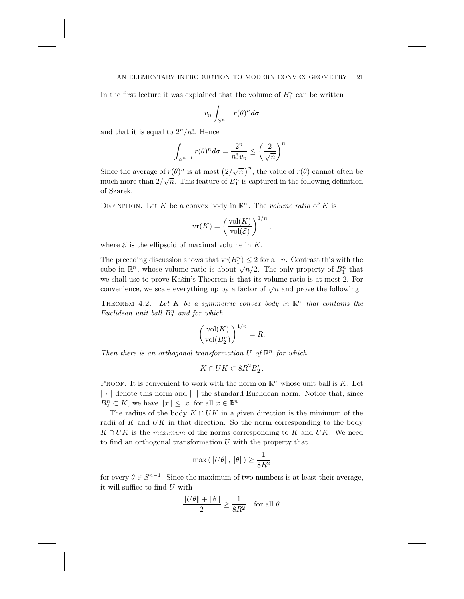### AN ELEMENTARY INTRODUCTION TO MODERN CONVEX GEOMETRY 21

In the first lecture it was explained that the volume of  $B_1^n$  can be written

$$
v_n \int_{S^{n-1}} r(\theta)^n d\sigma
$$

and that it is equal to  $2^n/n!$ . Hence

$$
\int_{S^{n-1}} r(\theta)^n d\sigma = \frac{2^n}{n! v_n} \le \left(\frac{2}{\sqrt{n}}\right)^n.
$$

Since the average of  $r(\theta)^n$  is at most  $(2/\sqrt{n})^n$ , the value of  $r(\theta)$  cannot often be much more than  $2/\sqrt{n}$ . This feature of  $B_1^n$  is captured in the following definition of Szarek.

DEFINITION. Let K be a convex body in  $\mathbb{R}^n$ . The *volume ratio* of K is

$$
\text{vr}(K) = \left(\frac{\text{vol}(K)}{\text{vol}(\mathcal{E})}\right)^{1/n},
$$

where  $\mathcal E$  is the ellipsoid of maximal volume in  $K$ .

The preceding discussion shows that  $\text{vr}(B_1^n) \leq 2$  for all n. Contrast this with the The preceding discussion shows that  $v(D_1) \leq z$  for all *n*. Contrast this with the cube in  $\mathbb{R}^n$ , whose volume ratio is about  $\sqrt{n}/2$ . The only property of  $B_1^n$  that we shall use to prove Kašin's Theorem is that its volume ratio is at most 2. For convenience, we scale everything up by a factor of  $\sqrt{n}$  and prove the following.

THEOREM 4.2. Let  $K$  be a symmetric convex body in  $\mathbb{R}^n$  that contains the *Euclidean unit ball*  $B_2^n$  *and for which* 

$$
\left(\frac{\textrm{vol}(K)}{\textrm{vol}(B_2^n)}\right)^{1/n}=R.
$$

*Then there is an orthogonal transformation* U of  $\mathbb{R}^n$  for which

$$
K\cap UK\subset 8R^2B_2^n.
$$

PROOF. It is convenient to work with the norm on  $\mathbb{R}^n$  whose unit ball is K. Let  $\|\cdot\|$  denote this norm and  $|\cdot|$  the standard Euclidean norm. Notice that, since  $B_2^n \subset K$ , we have  $||x|| \leq |x|$  for all  $x \in \mathbb{R}^n$ .

The radius of the body  $K \cap UK$  in a given direction is the minimum of the radii of K and  $UK$  in that direction. So the norm corresponding to the body  $K \cap UK$  is the *maximum* of the norms corresponding to K and UK. We need to find an orthogonal transformation  $U$  with the property that

$$
\max\left(\|U\theta\|,\|\theta\|\right)\geq \frac{1}{8R^2}
$$

for every  $\theta \in S^{n-1}$ . Since the maximum of two numbers is at least their average, it will suffice to find  $U$  with

$$
\frac{\|U\theta\|+\|\theta\|}{2}\geq \frac{1}{8R^2}\quad\text{for all }\theta.
$$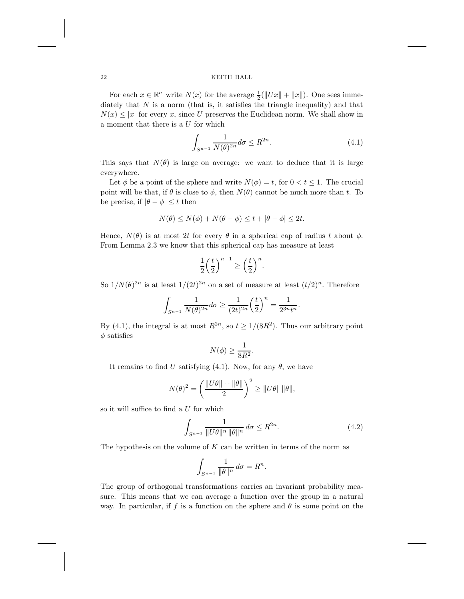For each  $x \in \mathbb{R}^n$  write  $N(x)$  for the average  $\frac{1}{2}(\Vert Ux \Vert + \Vert x \Vert)$ . One sees immediately that  $N$  is a norm (that is, it satisfies the triangle inequality) and that  $N(x) \leq |x|$  for every x, since U preserves the Euclidean norm. We shall show in a moment that there is a  $U$  for which

$$
\int_{S^{n-1}} \frac{1}{N(\theta)^{2n}} d\sigma \le R^{2n}.
$$
\n(4.1)

This says that  $N(\theta)$  is large on average: we want to deduce that it is large everywhere.

Let  $\phi$  be a point of the sphere and write  $N(\phi) = t$ , for  $0 < t \leq 1$ . The crucial point will be that, if  $\theta$  is close to  $\phi$ , then  $N(\theta)$  cannot be much more than t. To be precise, if  $|\theta - \phi| \leq t$  then

$$
N(\theta) \le N(\phi) + N(\theta - \phi) \le t + |\theta - \phi| \le 2t.
$$

Hence,  $N(\theta)$  is at most 2t for every  $\theta$  in a spherical cap of radius t about  $\phi$ . From Lemma 2.3 we know that this spherical cap has measure at least

$$
\frac{1}{2}\left(\frac{t}{2}\right)^{n-1} \ge \left(\frac{t}{2}\right)^n.
$$

So  $1/N(\theta)^{2n}$  is at least  $1/(2t)^{2n}$  on a set of measure at least  $(t/2)^n$ . Therefore

$$
\int_{S^{n-1}} \frac{1}{N(\theta)^{2n}} d\sigma \ge \frac{1}{(2t)^{2n}} \left(\frac{t}{2}\right)^n = \frac{1}{2^{3n}t^n}.
$$

By (4.1), the integral is at most  $R^{2n}$ , so  $t \ge 1/(8R^2)$ . Thus our arbitrary point  $\phi$  satisfies

$$
N(\phi) \ge \frac{1}{8R^2}.
$$

It remains to find U satisfying (4.1). Now, for any  $\theta$ , we have

$$
N(\theta)^2 = \left(\frac{\|U\theta\| + \|\theta\|}{2}\right)^2 \ge \|U\theta\| \|\theta\|,
$$

so it will suffice to find a  $U$  for which

$$
\int_{S^{n-1}} \frac{1}{\|U\theta\|^n \|\theta\|^n} \, d\sigma \le R^{2n}.\tag{4.2}
$$

The hypothesis on the volume of  $K$  can be written in terms of the norm as

$$
\int_{S^{n-1}} \frac{1}{\|\theta\|^n} \, d\sigma = R^n.
$$

The group of orthogonal transformations carries an invariant probability measure. This means that we can average a function over the group in a natural way. In particular, if f is a function on the sphere and  $\theta$  is some point on the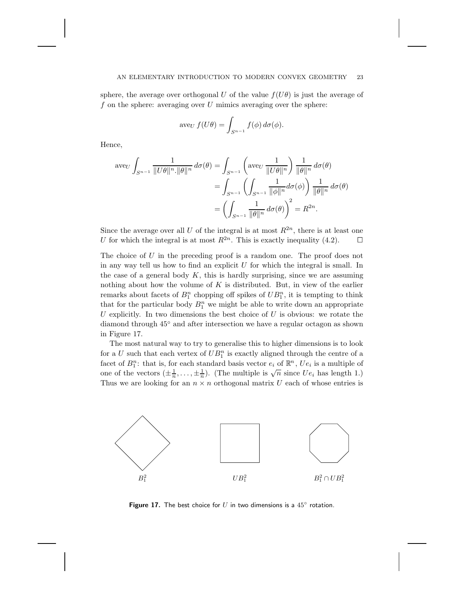### AN ELEMENTARY INTRODUCTION TO MODERN CONVEX GEOMETRY 23

sphere, the average over orthogonal U of the value  $f(U\theta)$  is just the average of f on the sphere: averaging over  $U$  mimics averaging over the sphere:

$$
ave_U f(U\theta) = \int_{S^{n-1}} f(\phi) d\sigma(\phi).
$$

Hence,

$$
\text{ave}_{U} \int_{S^{n-1}} \frac{1}{\|U\theta\|^{n} \cdot \|\theta\|^{n}} d\sigma(\theta) = \int_{S^{n-1}} \left( \text{ave}_{U} \frac{1}{\|U\theta\|^{n}} \right) \frac{1}{\|\theta\|^{n}} d\sigma(\theta)
$$

$$
= \int_{S^{n-1}} \left( \int_{S^{n-1}} \frac{1}{\|\phi\|^{n}} d\sigma(\phi) \right) \frac{1}{\|\theta\|^{n}} d\sigma(\theta)
$$

$$
= \left( \int_{S^{n-1}} \frac{1}{\|\theta\|^{n}} d\sigma(\theta) \right)^{2} = R^{2n}.
$$

Since the average over all U of the integral is at most  $R^{2n}$ , there is at least one U for which the integral is at most  $\mathbb{R}^{2n}$ . This is exactly inequality (4.2).  $\Box$ 

The choice of U in the preceding proof is a random one. The proof does not in any way tell us how to find an explicit  $U$  for which the integral is small. In the case of a general body  $K$ , this is hardly surprising, since we are assuming nothing about how the volume of  $K$  is distributed. But, in view of the earlier remarks about facets of  $B_1^n$  chopping off spikes of  $UB_1^n$ , it is tempting to think that for the particular body  $B_1^n$  we might be able to write down an appropriate U explicitly. In two dimensions the best choice of  $U$  is obvious: we rotate the diamond through 45◦ and after intersection we have a regular octagon as shown in Figure 17.

The most natural way to try to generalise this to higher dimensions is to look for a U such that each vertex of  $UB_1^n$  is exactly aligned through the centre of a facet of  $B_1^n$ : that is, for each standard basis vector  $e_i$  of  $\mathbb{R}^n$ ,  $Ue_i$  is a multiple of one of the vectors  $(\pm \frac{1}{n}, \ldots, \pm \frac{1}{n})$ . (The multiple is  $\sqrt{n}$  since  $Ue_i$  has length 1.) Thus we are looking for an  $n \times n$  orthogonal matrix U each of whose entries is



**Figure 17.** The best choice for U in two dimensions is a  $45^\circ$  rotation.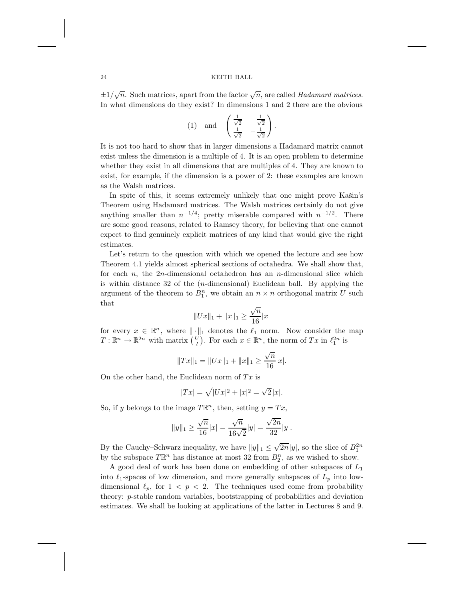$\pm 1/\sqrt{n}$ . Such matrices, apart from the factor  $\sqrt{n}$ , are called *Hadamard matrices*. In what dimensions do they exist? In dimensions 1 and 2 there are the obvious

$$
(1) \quad \text{and} \quad \begin{pmatrix} \frac{1}{\sqrt{2}} & \frac{1}{\sqrt{2}} \\ \frac{1}{\sqrt{2}} & -\frac{1}{\sqrt{2}} \end{pmatrix}.
$$

It is not too hard to show that in larger dimensions a Hadamard matrix cannot exist unless the dimension is a multiple of 4. It is an open problem to determine whether they exist in all dimensions that are multiples of 4. They are known to exist, for example, if the dimension is a power of 2: these examples are known as the Walsh matrices.

In spite of this, it seems extremely unlikely that one might prove Kašin's Theorem using Hadamard matrices. The Walsh matrices certainly do not give anything smaller than  $n^{-1/4}$ ; pretty miserable compared with  $n^{-1/2}$ . There are some good reasons, related to Ramsey theory, for believing that one cannot expect to find genuinely explicit matrices of any kind that would give the right estimates.

Let's return to the question with which we opened the lecture and see how Theorem 4.1 yields almost spherical sections of octahedra. We shall show that, for each  $n$ , the 2n-dimensional octahedron has an n-dimensional slice which is within distance 32 of the  $(n$ -dimensional) Euclidean ball. By applying the argument of the theorem to  $B_1^n$ , we obtain an  $n \times n$  orthogonal matrix U such that

$$
||Ux||_1 + ||x||_1 \ge \frac{\sqrt{n}}{16}|x|
$$

for every  $x \in \mathbb{R}^n$ , where  $\|\cdot\|_1$  denotes the  $\ell_1$  norm. Now consider the map  $T: \mathbb{R}^n \to \mathbb{R}^{2n}$  with matrix  $\begin{pmatrix} U \\ I \end{pmatrix}$ . For each  $x \in \mathbb{R}^n$ , the norm of  $Tx$  in  $\ell_1^{2n}$  is

$$
||Tx||_1 = ||Ux||_1 + ||x||_1 \ge \frac{\sqrt{n}}{16}|x|.
$$

On the other hand, the Euclidean norm of  $Tx$  is

$$
|Tx| = \sqrt{|Ux|^2 + |x|^2} = \sqrt{2}|x|.
$$

So, if y belongs to the image  $T\mathbb{R}^n$ , then, setting  $y = Tx$ ,

$$
||y||_1 \ge \frac{\sqrt{n}}{16}|x| = \frac{\sqrt{n}}{16\sqrt{2}}|y| = \frac{\sqrt{2n}}{32}|y|.
$$

By the Cauchy–Schwarz inequality, we have  $||y||_1 \leq \sqrt{2n}|y|$ , so the slice of  $B_1^{2n}$ by the subspace  $T\mathbb{R}^n$  has distance at most 32 from  $B_2^n$ , as we wished to show.

A good deal of work has been done on embedding of other subspaces of  $L_1$ into  $\ell_1$ -spaces of low dimension, and more generally subspaces of  $L_p$  into lowdimensional  $\ell_p$ , for  $1 < p < 2$ . The techniques used come from probability theory: p-stable random variables, bootstrapping of probabilities and deviation estimates. We shall be looking at applications of the latter in Lectures 8 and 9.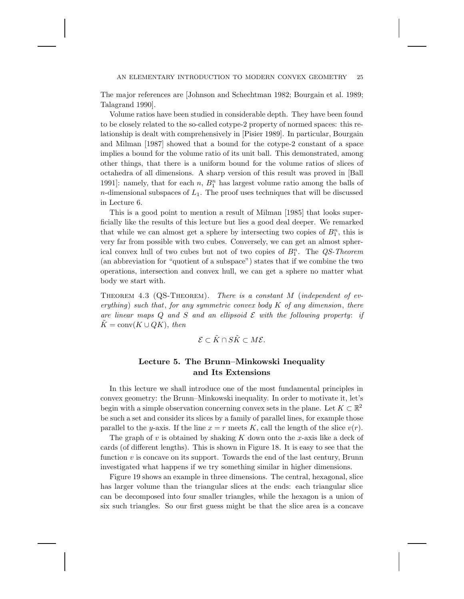The major references are [Johnson and Schechtman 1982; Bourgain et al. 1989; Talagrand 1990].

Volume ratios have been studied in considerable depth. They have been found to be closely related to the so-called cotype-2 property of normed spaces: this relationship is dealt with comprehensively in [Pisier 1989]. In particular, Bourgain and Milman [1987] showed that a bound for the cotype-2 constant of a space implies a bound for the volume ratio of its unit ball. This demonstrated, among other things, that there is a uniform bound for the volume ratios of slices of octahedra of all dimensions. A sharp version of this result was proved in [Ball 1991]: namely, that for each  $n, B_1^n$  has largest volume ratio among the balls of n-dimensional subspaces of  $L_1$ . The proof uses techniques that will be discussed in Lecture 6.

This is a good point to mention a result of Milman [1985] that looks superficially like the results of this lecture but lies a good deal deeper. We remarked that while we can almost get a sphere by intersecting two copies of  $B_1^n$ , this is very far from possible with two cubes. Conversely, we can get an almost spherical convex hull of two cubes but not of two copies of  $B_1^n$ . The  $QS$ -Theorem (an abbreviation for "quotient of a subspace") states that if we combine the two operations, intersection and convex hull, we can get a sphere no matter what body we start with.

Theorem 4.3 (QS-Theorem). *There is a constant* M (*independent of everything*) *such that*, *for any symmetric convex body* K *of any dimension*, *there* are linear maps  $Q$  and  $S$  and an ellipsoid  $E$  with the following property: if  $K = \text{conv}(K \cup QK)$ , *then* 

$$
\mathcal{E} \subset \tilde{K} \cap S\tilde{K} \subset M\mathcal{E}.
$$

# **Lecture 5. The Brunn–Minkowski Inequality and Its Extensions**

In this lecture we shall introduce one of the most fundamental principles in convex geometry: the Brunn–Minkowski inequality. In order to motivate it, let's begin with a simple observation concerning convex sets in the plane. Let  $K \subset \mathbb{R}^2$ be such a set and consider its slices by a family of parallel lines, for example those parallel to the y-axis. If the line  $x = r$  meets K, call the length of the slice  $v(r)$ .

The graph of v is obtained by shaking K down onto the x-axis like a deck of cards (of different lengths). This is shown in Figure 18. It is easy to see that the function  $v$  is concave on its support. Towards the end of the last century, Brunn investigated what happens if we try something similar in higher dimensions.

Figure 19 shows an example in three dimensions. The central, hexagonal, slice has larger volume than the triangular slices at the ends: each triangular slice can be decomposed into four smaller triangles, while the hexagon is a union of six such triangles. So our first guess might be that the slice area is a concave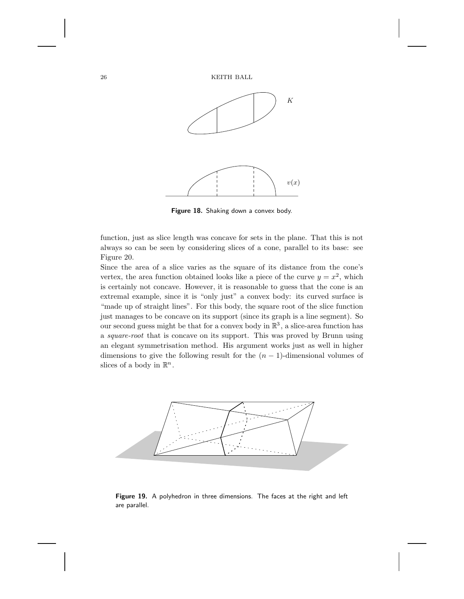

**Figure 18.** Shaking down a convex body.

function, just as slice length was concave for sets in the plane. That this is not always so can be seen by considering slices of a cone, parallel to its base: see Figure 20.

Since the area of a slice varies as the square of its distance from the cone's vertex, the area function obtained looks like a piece of the curve  $y = x^2$ , which is certainly not concave. However, it is reasonable to guess that the cone is an extremal example, since it is "only just" a convex body: its curved surface is "made up of straight lines". For this body, the square root of the slice function just manages to be concave on its support (since its graph is a line segment). So our second guess might be that for a convex body in  $\mathbb{R}^3$ , a slice-area function has a *square-root* that is concave on its support. This was proved by Brunn using an elegant symmetrisation method. His argument works just as well in higher dimensions to give the following result for the  $(n - 1)$ -dimensional volumes of slices of a body in  $\mathbb{R}^n$ .



**Figure 19.** A polyhedron in three dimensions. The faces at the right and left are parallel.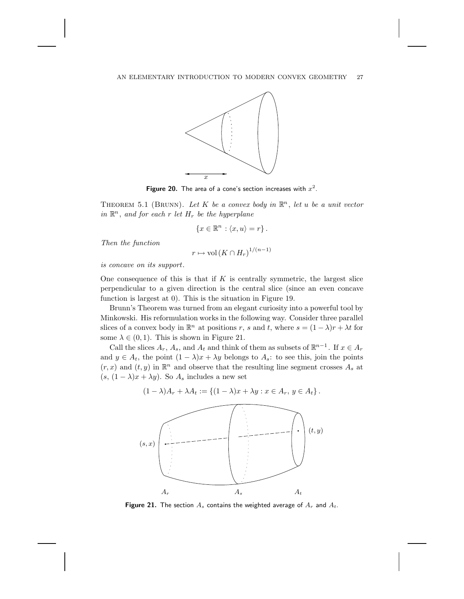

**Figure 20.** The area of a cone's section increases with  $x^2$ .

THEOREM 5.1 (BRUNN). Let K be a convex body in  $\mathbb{R}^n$ , let u be a unit vector *in*  $\mathbb{R}^n$ , *and for each* r *let*  $H_r$  *be the hyperplane* 

$$
\{x \in \mathbb{R}^n : \langle x, u \rangle = r\}.
$$

*Then the function*

$$
r \mapsto \text{vol}(K \cap H_r)^{1/(n-1)}
$$

*is concave on its support*.

One consequence of this is that if  $K$  is centrally symmetric, the largest slice perpendicular to a given direction is the central slice (since an even concave function is largest at 0). This is the situation in Figure 19.

Brunn's Theorem was turned from an elegant curiosity into a powerful tool by Minkowski. His reformulation works in the following way. Consider three parallel slices of a convex body in  $\mathbb{R}^n$  at positions r, s and t, where  $s = (1 - \lambda)r + \lambda t$  for some  $\lambda \in (0, 1)$ . This is shown in Figure 21.

Call the slices  $A_r$ ,  $A_s$ , and  $A_t$  and think of them as subsets of  $\mathbb{R}^{n-1}$ . If  $x \in A_r$ and  $y \in A_t$ , the point  $(1 - \lambda)x + \lambda y$  belongs to  $A_s$ : to see this, join the points  $(r, x)$  and  $(t, y)$  in  $\mathbb{R}^n$  and observe that the resulting line segment crosses  $A_s$  at  $(s, (1 - \lambda)x + \lambda y)$ . So  $A_s$  includes a new set

$$
(1 - \lambda)A_r + \lambda A_t := \{(1 - \lambda)x + \lambda y : x \in A_r, y \in A_t\}.
$$



**Figure 21.** The section  $A_s$  contains the weighted average of  $A_r$  and  $A_t$ .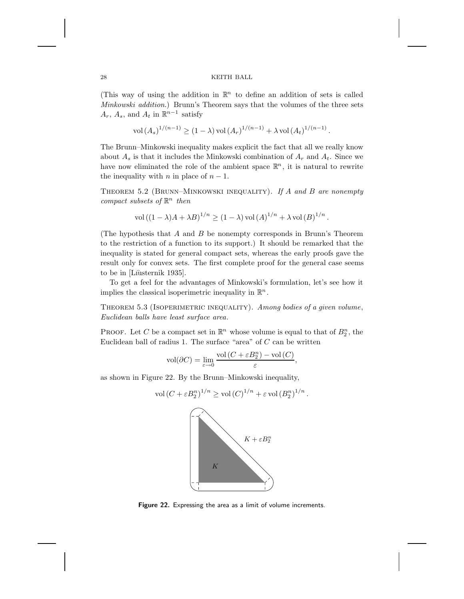(This way of using the addition in  $\mathbb{R}^n$  to define an addition of sets is called *Minkowski addition*.) Brunn's Theorem says that the volumes of the three sets  $A_r$ ,  $A_s$ , and  $A_t$  in  $\mathbb{R}^{n-1}$  satisfy

$$
\text{vol}(A_s)^{1/(n-1)} \ge (1-\lambda) \text{ vol}(A_r)^{1/(n-1)} + \lambda \text{ vol}(A_t)^{1/(n-1)}.
$$

The Brunn–Minkowski inequality makes explicit the fact that all we really know about  $A_s$  is that it includes the Minkowski combination of  $A_r$  and  $A_t$ . Since we have now eliminated the role of the ambient space  $\mathbb{R}^n$ , it is natural to rewrite the inequality with *n* in place of  $n - 1$ .

Theorem 5.2 (Brunn–Minkowski inequality). *If* A *and* B *are nonempty compact subsets of*  $\mathbb{R}^n$  *then* 

$$
\text{vol}\left((1-\lambda)A+\lambda B\right)^{1/n}\geq (1-\lambda)\,\text{vol}\left(A\right)^{1/n}+\lambda\,\text{vol}\left(B\right)^{1/n}.
$$

(The hypothesis that  $A$  and  $B$  be nonempty corresponds in Brunn's Theorem to the restriction of a function to its support.) It should be remarked that the inequality is stated for general compact sets, whereas the early proofs gave the result only for convex sets. The first complete proof for the general case seems to be in [Lıusternik 1935].

To get a feel for the advantages of Minkowski's formulation, let's see how it implies the classical isoperimetric inequality in  $\mathbb{R}^n$ .

Theorem 5.3 (Isoperimetric inequality). *Among bodies of a given volume*, *Euclidean balls have least surface area*.

PROOF. Let C be a compact set in  $\mathbb{R}^n$  whose volume is equal to that of  $B_2^n$ , the Euclidean ball of radius 1. The surface "area" of  $C$  can be written

$$
\text{vol}(\partial C) = \lim_{\varepsilon \to 0} \frac{\text{vol}\left(C + \varepsilon B_2^n\right) - \text{vol}\left(C\right)}{\varepsilon},
$$

as shown in Figure 22. By the Brunn–Minkowski inequality,

$$
\operatorname{vol}(C + \varepsilon B_2^n)^{1/n} \ge \operatorname{vol}(C)^{1/n} + \varepsilon \operatorname{vol}(B_2^n)^{1/n}.
$$
  

$$
K + \varepsilon B_2^n
$$

**Figure 22.** Expressing the area as a limit of volume increments.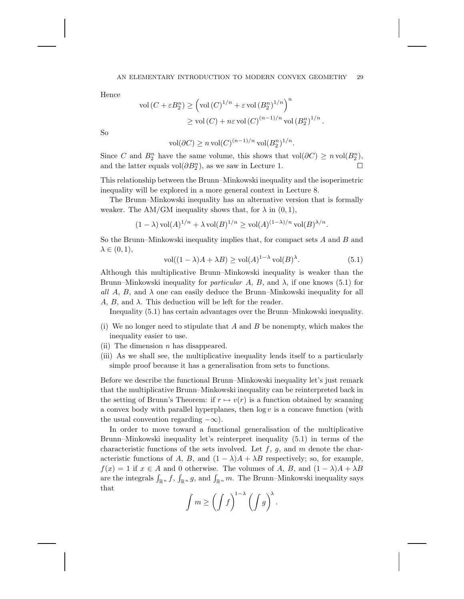Hence

$$
\operatorname{vol}\left(C + \varepsilon B_2^n\right) \ge \left(\operatorname{vol}\left(C\right)^{1/n} + \varepsilon \operatorname{vol}\left(B_2^n\right)^{1/n}\right)^n
$$

$$
\ge \operatorname{vol}\left(C\right) + n\varepsilon \operatorname{vol}\left(C\right)^{(n-1)/n} \operatorname{vol}\left(B_2^n\right)^{1/n}.
$$

So

vol $(\partial C) \ge n \text{ vol}(C)^{(n-1)/n} \text{ vol}(B_2^n)^{1/n}.$ 

Since C and  $B_2^n$  have the same volume, this shows that vol $(\partial C) \ge n \text{ vol}(B_2^n)$ , and the latter equals vol $(\partial B_2^n)$ , as we saw in Lecture 1.

This relationship between the Brunn–Minkowski inequality and the isoperimetric inequality will be explored in a more general context in Lecture 8.

The Brunn–Minkowski inequality has an alternative version that is formally weaker. The AM/GM inequality shows that, for  $\lambda$  in  $(0, 1)$ ,

$$
(1 - \lambda) \operatorname{vol}(A)^{1/n} + \lambda \operatorname{vol}(B)^{1/n} \ge \operatorname{vol}(A)^{(1 - \lambda)/n} \operatorname{vol}(B)^{\lambda/n}.
$$

So the Brunn–Minkowski inequality implies that, for compact sets  $A$  and  $B$  and  $\lambda \in (0,1),$ 

$$
\text{vol}((1 - \lambda)A + \lambda B) \ge \text{vol}(A)^{1 - \lambda} \text{vol}(B)^{\lambda}.
$$
 (5.1)

Although this multiplicative Brunn–Minkowski inequality is weaker than the Brunn–Minkowski inequality for *particular* A, B, and  $\lambda$ , if one knows (5.1) for all  $A, B$ , and  $\lambda$  one can easily deduce the Brunn–Minkowski inequality for all  $A, B, \text{ and } \lambda$ . This deduction will be left for the reader.

Inequality (5.1) has certain advantages over the Brunn–Minkowski inequality.

- (i) We no longer need to stipulate that  $A$  and  $B$  be nonempty, which makes the inequality easier to use.
- (ii) The dimension  $n$  has disappeared.
- (iii) As we shall see, the multiplicative inequality lends itself to a particularly simple proof because it has a generalisation from sets to functions.

Before we describe the functional Brunn–Minkowski inequality let's just remark that the multiplicative Brunn–Minkowski inequality can be reinterpreted back in the setting of Brunn's Theorem: if  $r \mapsto v(r)$  is a function obtained by scanning a convex body with parallel hyperplanes, then  $log v$  is a concave function (with the usual convention regarding  $-\infty$ ).

In order to move toward a functional generalisation of the multiplicative Brunn–Minkowski inequality let's reinterpret inequality (5.1) in terms of the characteristic functions of the sets involved. Let  $f, g$ , and  $m$  denote the characteristic functions of A, B, and  $(1 - \lambda)A + \lambda B$  respectively; so, for example,  $f(x) = 1$  if  $x \in A$  and 0 otherwise. The volumes of A, B, and  $(1 - \lambda)A + \lambda B$ are the integrals  $\int_{\mathbb{R}^n} f$ ,  $\int_{\mathbb{R}^n} g$ , and  $\int_{\mathbb{R}^n} m$ . The Brunn–Minkowski inequality says that

$$
\int m \ge \left(\int f\right)^{1-\lambda} \left(\int g\right)^{\lambda}.
$$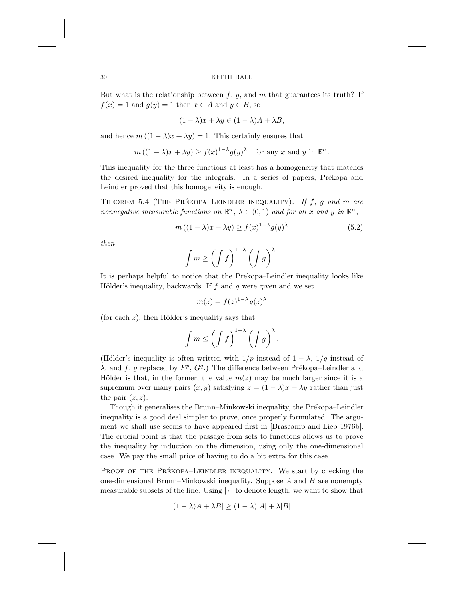But what is the relationship between  $f, g$ , and  $m$  that guarantees its truth? If  $f(x) = 1$  and  $g(y) = 1$  then  $x \in A$  and  $y \in B$ , so

$$
(1 - \lambda)x + \lambda y \in (1 - \lambda)A + \lambda B,
$$

and hence  $m((1 - \lambda)x + \lambda y) = 1$ . This certainly ensures that

$$
m((1 - \lambda)x + \lambda y) \ge f(x)^{1-\lambda}g(y)^{\lambda}
$$
 for any x and y in  $\mathbb{R}^n$ .

This inequality for the three functions at least has a homogeneity that matches the desired inequality for the integrals. In a series of papers, Prékopa and Leindler proved that this homogeneity is enough.

THEOREM 5.4 (THE PRÉKOPA-LEINDLER INEQUALITY). If f, g and m are *nonnegative measurable functions on*  $\mathbb{R}^n$ ,  $\lambda \in (0,1)$  *and for all* x *and* y *in*  $\mathbb{R}^n$ ,

$$
m((1 - \lambda)x + \lambda y) \ge f(x)^{1 - \lambda} g(y)^{\lambda}
$$
\n(5.2)

*then*

$$
\int m \ge \left(\int f\right)^{1-\lambda} \left(\int g\right)^{\lambda}.
$$

It is perhaps helpful to notice that the Prékopa–Leindler inequality looks like Hölder's inequality, backwards. If  $f$  and  $g$  were given and we set

$$
m(z) = f(z)^{1-\lambda} g(z)^{\lambda}
$$

(for each  $z$ ), then Hölder's inequality says that

$$
\int m \le \left(\int f\right)^{1-\lambda} \left(\int g\right)^{\lambda}.
$$

(Hölder's inequality is often written with  $1/p$  instead of  $1 - \lambda$ ,  $1/q$  instead of  $\lambda$ , and f, g replaced by  $F^p$ ,  $G^q$ .) The difference between Prékopa–Leindler and Hölder is that, in the former, the value  $m(z)$  may be much larger since it is a supremum over many pairs  $(x, y)$  satisfying  $z = (1 - \lambda)x + \lambda y$  rather than just the pair  $(z, z)$ .

Though it generalises the Brunn–Minkowski inequality, the Prékopa–Leindler inequality is a good deal simpler to prove, once properly formulated. The argument we shall use seems to have appeared first in [Brascamp and Lieb 1976b]. The crucial point is that the passage from sets to functions allows us to prove the inequality by induction on the dimension, using only the one-dimensional case. We pay the small price of having to do a bit extra for this case.

PROOF OF THE PRÉKOPA-LEINDLER INEQUALITY. We start by checking the one-dimensional Brunn–Minkowski inequality. Suppose  $A$  and  $B$  are nonempty measurable subsets of the line. Using  $|\cdot|$  to denote length, we want to show that

$$
|(1 - \lambda)A + \lambda B| \ge (1 - \lambda)|A| + \lambda |B|.
$$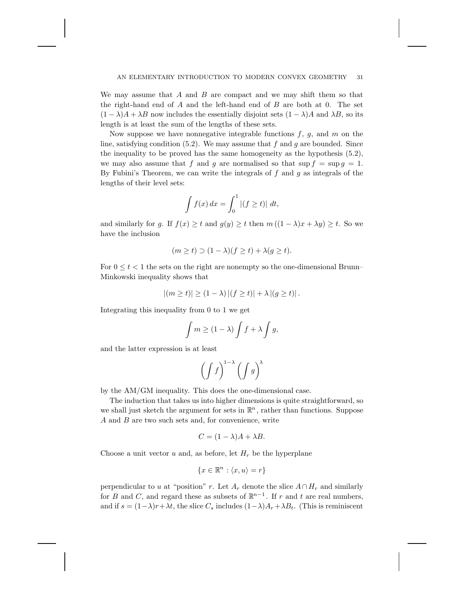We may assume that  $A$  and  $B$  are compact and we may shift them so that the right-hand end of  $A$  and the left-hand end of  $B$  are both at 0. The set  $(1 - \lambda)A + \lambda B$  now includes the essentially disjoint sets  $(1 - \lambda)A$  and  $\lambda B$ , so its length is at least the sum of the lengths of these sets.

Now suppose we have nonnegative integrable functions  $f, g$ , and m on the line, satisfying condition  $(5.2)$ . We may assume that f and g are bounded. Since the inequality to be proved has the same homogeneity as the hypothesis (5.2), we may also assume that f and q are normalised so that  $\sup f = \sup g = 1$ . By Fubini's Theorem, we can write the integrals of  $f$  and  $g$  as integrals of the lengths of their level sets:

$$
\int f(x) dx = \int_0^1 |(f \ge t)| dt,
$$

and similarly for g. If  $f(x) \ge t$  and  $g(y) \ge t$  then  $m((1 - \lambda)x + \lambda y) \ge t$ . So we have the inclusion

$$
(m \ge t) \supset (1 - \lambda)(f \ge t) + \lambda(g \ge t).
$$

For  $0 \le t \le 1$  the sets on the right are nonempty so the one-dimensional Brunn– Minkowski inequality shows that

$$
|(m \ge t)| \ge (1 - \lambda) |(f \ge t)| + \lambda |(g \ge t)|.
$$

Integrating this inequality from 0 to 1 we get

$$
\int m \ge (1 - \lambda) \int f + \lambda \int g,
$$

and the latter expression is at least

$$
\left(\int f\right)^{1-\lambda}\left(\int g\right)^{\lambda}
$$

by the AM/GM inequality. This does the one-dimensional case.

The induction that takes us into higher dimensions is quite straightforward, so we shall just sketch the argument for sets in  $\mathbb{R}^n$ , rather than functions. Suppose  $A$  and  $B$  are two such sets and, for convenience, write

$$
C = (1 - \lambda)A + \lambda B.
$$

Choose a unit vector  $u$  and, as before, let  $H_r$  be the hyperplane

$$
\{x \in \mathbb{R}^n : \langle x, u \rangle = r\}
$$

perpendicular to u at "position" r. Let  $A_r$  denote the slice  $A \cap H_r$  and similarly for B and C, and regard these as subsets of  $\mathbb{R}^{n-1}$ . If r and t are real numbers, and if  $s = (1-\lambda)r + \lambda t$ , the slice  $C_s$  includes  $(1-\lambda)A_r + \lambda B_t$ . (This is reminiscent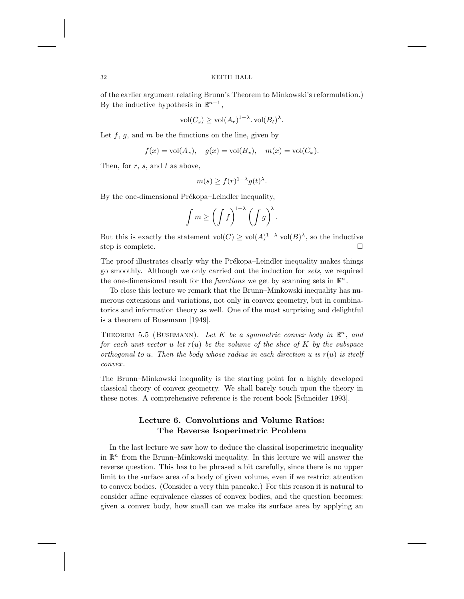of the earlier argument relating Brunn's Theorem to Minkowski's reformulation.) By the inductive hypothesis in  $\mathbb{R}^{n-1}$ ,

$$
\text{vol}(C_s) \ge \text{vol}(A_r)^{1-\lambda}.\,\text{vol}(B_t)^{\lambda}.
$$

Let  $f, g$ , and  $m$  be the functions on the line, given by

$$
f(x) = \text{vol}(A_x), \quad g(x) = \text{vol}(B_x), \quad m(x) = \text{vol}(C_x).
$$

Then, for  $r$ ,  $s$ , and  $t$  as above,

$$
m(s) \ge f(r)^{1-\lambda} g(t)^{\lambda}.
$$

By the one-dimensional Prékopa–Leindler inequality,

$$
\int m \ge \left(\int f\right)^{1-\lambda} \left(\int g\right)^{\lambda}.
$$

But this is exactly the statement vol $(C) \geq vol(A)^{1-\lambda}$  vol $(B)^{\lambda}$ , so the inductive step is complete.

The proof illustrates clearly why the Prékopa–Leindler inequality makes things go smoothly. Although we only carried out the induction for *sets*, we required the one-dimensional result for the *functions* we get by scanning sets in  $\mathbb{R}^n$ .

To close this lecture we remark that the Brunn–Minkowski inequality has numerous extensions and variations, not only in convex geometry, but in combinatorics and information theory as well. One of the most surprising and delightful is a theorem of Busemann [1949].

THEOREM 5.5 (BUSEMANN). Let K be a symmetric convex body in  $\mathbb{R}^n$ , and *for each unit vector* u *let* r(u) *be the volume of the slice of* K *by the subspace orthogonal to* u. Then the body whose radius in each direction u is  $r(u)$  is itself *convex* .

The Brunn–Minkowski inequality is the starting point for a highly developed classical theory of convex geometry. We shall barely touch upon the theory in these notes. A comprehensive reference is the recent book [Schneider 1993].

# **Lecture 6. Convolutions and Volume Ratios: The Reverse Isoperimetric Problem**

In the last lecture we saw how to deduce the classical isoperimetric inequality in  $\mathbb{R}^n$  from the Brunn–Minkowski inequality. In this lecture we will answer the reverse question. This has to be phrased a bit carefully, since there is no upper limit to the surface area of a body of given volume, even if we restrict attention to convex bodies. (Consider a very thin pancake.) For this reason it is natural to consider affine equivalence classes of convex bodies, and the question becomes: given a convex body, how small can we make its surface area by applying an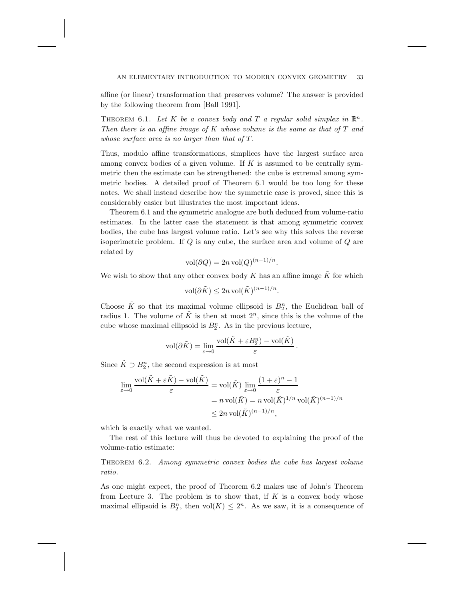affine (or linear) transformation that preserves volume? The answer is provided by the following theorem from [Ball 1991].

THEOREM 6.1. Let K be a convex body and T a regular solid simplex in  $\mathbb{R}^n$ . *Then there is an affine image of* K *whose volume is the same as that of* T *and whose surface area is no larger than that of* T .

Thus, modulo affine transformations, simplices have the largest surface area among convex bodies of a given volume. If K is assumed to be centrally symmetric then the estimate can be strengthened: the cube is extremal among symmetric bodies. A detailed proof of Theorem 6.1 would be too long for these notes. We shall instead describe how the symmetric case is proved, since this is considerably easier but illustrates the most important ideas.

Theorem 6.1 and the symmetric analogue are both deduced from volume-ratio estimates. In the latter case the statement is that among symmetric convex bodies, the cube has largest volume ratio. Let's see why this solves the reverse isoperimetric problem. If  $Q$  is any cube, the surface area and volume of  $Q$  are related by

$$
vol(\partial Q) = 2n vol(Q)^{(n-1)/n}.
$$

We wish to show that any other convex body  $K$  has an affine image  $K$  for which

$$
\text{vol}(\partial \tilde{K}) \le 2n \text{ vol}(\tilde{K})^{(n-1)/n}.
$$

Choose  $\tilde{K}$  so that its maximal volume ellipsoid is  $B_2^n$ , the Euclidean ball of radius 1. The volume of  $\tilde{K}$  is then at most  $2^{n}$ , since this is the volume of the cube whose maximal ellipsoid is  $B_2^n$ . As in the previous lecture,

$$
\text{vol}(\partial \tilde{K}) = \lim_{\varepsilon \to 0} \frac{\text{vol}(\tilde{K} + \varepsilon B_2^n) - \text{vol}(\tilde{K})}{\varepsilon}.
$$

Since  $\tilde{K} \supset B_2^n$ , the second expression is at most

$$
\lim_{\varepsilon \to 0} \frac{\text{vol}(\tilde{K} + \varepsilon \tilde{K}) - \text{vol}(\tilde{K})}{\varepsilon} = \text{vol}(\tilde{K}) \lim_{\varepsilon \to 0} \frac{(1 + \varepsilon)^n - 1}{\varepsilon}
$$
\n
$$
= n \text{ vol}(\tilde{K}) = n \text{ vol}(\tilde{K})^{1/n} \text{ vol}(\tilde{K})^{(n-1)/n}
$$
\n
$$
\leq 2n \text{ vol}(\tilde{K})^{(n-1)/n},
$$

which is exactly what we wanted.

The rest of this lecture will thus be devoted to explaining the proof of the volume-ratio estimate:

Theorem 6.2. *Among symmetric convex bodies the cube has largest volume ratio*.

As one might expect, the proof of Theorem 6.2 makes use of John's Theorem from Lecture 3. The problem is to show that, if  $K$  is a convex body whose maximal ellipsoid is  $B_2^n$ , then  $vol(K) \leq 2^n$ . As we saw, it is a consequence of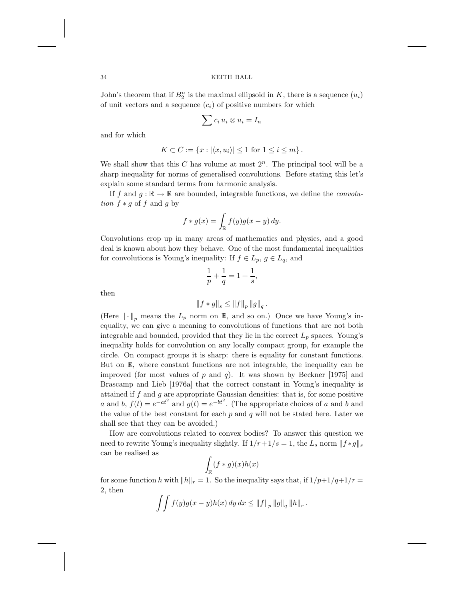John's theorem that if  $B_2^n$  is the maximal ellipsoid in K, there is a sequence  $(u_i)$ of unit vectors and a sequence  $(c_i)$  of positive numbers for which

$$
\sum c_i u_i \otimes u_i = I_n
$$

and for which

$$
K \subset C := \{x : |\langle x, u_i \rangle| \le 1 \text{ for } 1 \le i \le m\}.
$$

We shall show that this  $C$  has volume at most  $2^n$ . The principal tool will be a sharp inequality for norms of generalised convolutions. Before stating this let's explain some standard terms from harmonic analysis.

If f and  $g : \mathbb{R} \to \mathbb{R}$  are bounded, integrable functions, we define the *convolution*  $f * g$  of f and g by

$$
f * g(x) = \int_{\mathbb{R}} f(y)g(x - y) dy.
$$

Convolutions crop up in many areas of mathematics and physics, and a good deal is known about how they behave. One of the most fundamental inequalities for convolutions is Young's inequality: If  $f \in L_p$ ,  $g \in L_q$ , and

$$
\frac{1}{p} + \frac{1}{q} = 1 + \frac{1}{s},
$$

then

$$
\left\|f*g\right\|_s \leq \left\|f\right\|_p \left\|g\right\|_q.
$$

(Here  $\|\cdot\|_n$  means the  $L_p$  norm on R, and so on.) Once we have Young's inequality, we can give a meaning to convolutions of functions that are not both integrable and bounded, provided that they lie in the correct  $L_p$  spaces. Young's inequality holds for convolution on any locally compact group, for example the circle. On compact groups it is sharp: there is equality for constant functions. But on <sup>R</sup>, where constant functions are not integrable, the inequality can be improved (for most values of  $p$  and  $q$ ). It was shown by Beckner [1975] and Brascamp and Lieb [1976a] that the correct constant in Young's inequality is attained if  $f$  and  $g$  are appropriate Gaussian densities: that is, for some positive a and b,  $f(t) = e^{-at^2}$  and  $g(t) = e^{-bt^2}$ . (The appropriate choices of a and b and the value of the best constant for each  $p$  and  $q$  will not be stated here. Later we shall see that they can be avoided.)

How are convolutions related to convex bodies? To answer this question we need to rewrite Young's inequality slightly. If  $1/r+1/s=1$ , the  $L_s$  norm  $|| f * g ||_s$ can be realised as

$$
\int_{\mathbb{R}} (f * g)(x) h(x)
$$

for some function h with  $||h||_r = 1$ . So the inequality says that, if  $1/p+1/q+1/r =$ 2, then

$$
\int \int f(y)g(x-y)h(x) \, dy \, dx \leq ||f||_p ||g||_q ||h||_r.
$$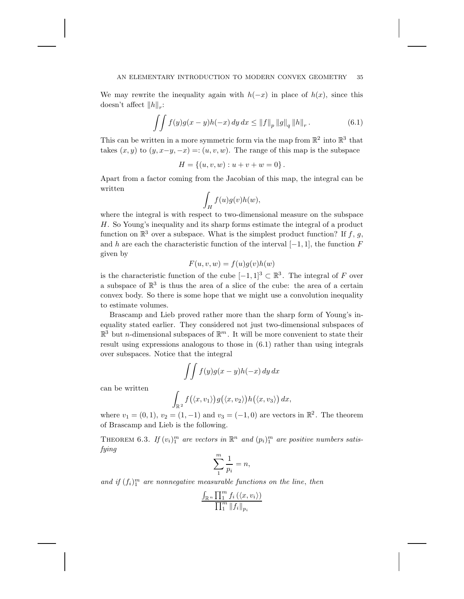### AN ELEMENTARY INTRODUCTION TO MODERN CONVEX GEOMETRY 35

We may rewrite the inequality again with  $h(-x)$  in place of  $h(x)$ , since this doesn't affect  $||h||_{r}$ :

$$
\int \int f(y)g(x-y)h(-x) \, dy \, dx \le ||f||_p \, ||g||_q \, ||h||_r. \tag{6.1}
$$

This can be written in a more symmetric form via the map from  $\mathbb{R}^2$  into  $\mathbb{R}^3$  that takes  $(x, y)$  to  $(y, x-y, -x) = (u, v, w)$ . The range of this map is the subspace

$$
H = \{(u, v, w) : u + v + w = 0\}.
$$

Apart from a factor coming from the Jacobian of this map, the integral can be written

$$
\int_H f(u)g(v)h(w),
$$

where the integral is with respect to two-dimensional measure on the subspace H. So Young's inequality and its sharp forms estimate the integral of a product function on  $\mathbb{R}^3$  over a subspace. What is the simplest product function? If f, g, and h are each the characteristic function of the interval  $[-1, 1]$ , the function F given by

$$
F(u, v, w) = f(u)g(v)h(w)
$$

is the characteristic function of the cube  $[-1, 1]^3 \subset \mathbb{R}^3$ . The integral of F over a subspace of  $\mathbb{R}^3$  is thus the area of a slice of the cube: the area of a certain convex body. So there is some hope that we might use a convolution inequality to estimate volumes.

Brascamp and Lieb proved rather more than the sharp form of Young's inequality stated earlier. They considered not just two-dimensional subspaces of  $\mathbb{R}^3$  but *n*-dimensional subspaces of  $\mathbb{R}^m$ . It will be more convenient to state their result using expressions analogous to those in (6.1) rather than using integrals over subspaces. Notice that the integral

$$
\int \int f(y)g(x-y)h(-x) \, dy \, dx
$$

can be written

$$
\int_{\mathbb{R}^2} f(\langle x, v_1 \rangle) g(\langle x, v_2 \rangle) h(\langle x, v_3 \rangle) dx,
$$

where  $v_1 = (0, 1), v_2 = (1, -1)$  and  $v_3 = (-1, 0)$  are vectors in  $\mathbb{R}^2$ . The theorem of Brascamp and Lieb is the following.

THEOREM 6.3. If  $(v_i)_1^m$  are vectors in  $\mathbb{R}^n$  and  $(p_i)_1^m$  are positive numbers satis*fying*

$$
\sum_{1}^{m} \frac{1}{p_i} = n,
$$

and if  $(f_i)_1^m$  are nonnegative measurable functions on the line, then

$$
\frac{\int_{\mathbb{R}^n} \prod_{i=1}^m f_i(\langle x, v_i \rangle)}{\prod_{i=1}^m \|f_i\|_{p_i}}
$$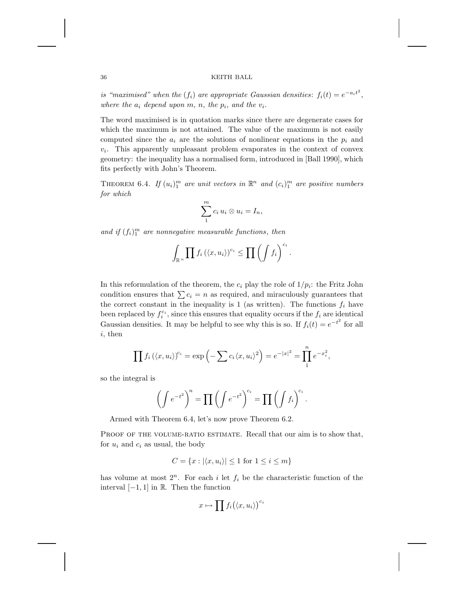*is "maximised" when the*  $(f_i)$  *are appropriate Gaussian densities*:  $f_i(t) = e^{-a_i t^2}$ , *where the*  $a_i$  *depend upon*  $m$ ,  $n$ , *the*  $p_i$ , *and the*  $v_i$ .

The word maximised is in quotation marks since there are degenerate cases for which the maximum is not attained. The value of the maximum is not easily computed since the  $a_i$  are the solutions of nonlinear equations in the  $p_i$  and  $v_i$ . This apparently unpleasant problem evaporates in the context of convex geometry: the inequality has a normalised form, introduced in [Ball 1990], which fits perfectly with John's Theorem.

THEOREM 6.4. *If*  $(u_i)_1^m$  are unit vectors in  $\mathbb{R}^n$  and  $(c_i)_1^m$  are positive numbers *for which*

$$
\sum_{1}^{m} c_i u_i \otimes u_i = I_n,
$$

and if  $(f_i)_1^m$  are nonnegative measurable functions, then

$$
\int_{\mathbb{R}^n} \prod f_i \left( \langle x, u_i \rangle \right)^{c_i} \leq \prod \left( \int f_i \right)^{c_i}.
$$

In this reformulation of the theorem, the  $c_i$  play the role of  $1/p_i$ : the Fritz John condition ensures that  $\sum c_i = n$  as required, and miraculously guarantees that the correct constant in the inequality is 1 (as written). The functions  $f_i$  have been replaced by  $f_i^{c_i}$ , since this ensures that equality occurs if the  $f_i$  are identical Gaussian densities. It may be helpful to see why this is so. If  $f_i(t) = e^{-t^2}$  for all i, then

$$
\prod f_i(\langle x, u_i \rangle)^{c_i} = \exp\left(-\sum c_i \langle x, u_i \rangle^2\right) = e^{-|x|^2} = \prod_1^n e^{-x_i^2},
$$

so the integral is

$$
\left(\int e^{-t^2}\right)^n = \prod \left(\int e^{-t^2}\right)^{c_i} = \prod \left(\int f_i\right)^{c_i}.
$$

Armed with Theorem 6.4, let's now prove Theorem 6.2.

PROOF OF THE VOLUME-RATIO ESTIMATE. Recall that our aim is to show that, for  $u_i$  and  $c_i$  as usual, the body

$$
C = \{x : |\langle x, u_i \rangle| \le 1 \text{ for } 1 \le i \le m\}
$$

has volume at most  $2^n$ . For each i let  $f_i$  be the characteristic function of the interval [−1, 1] in <sup>R</sup>. Then the function

$$
x \mapsto \prod f_i(\langle x, u_i \rangle)^{c_i}
$$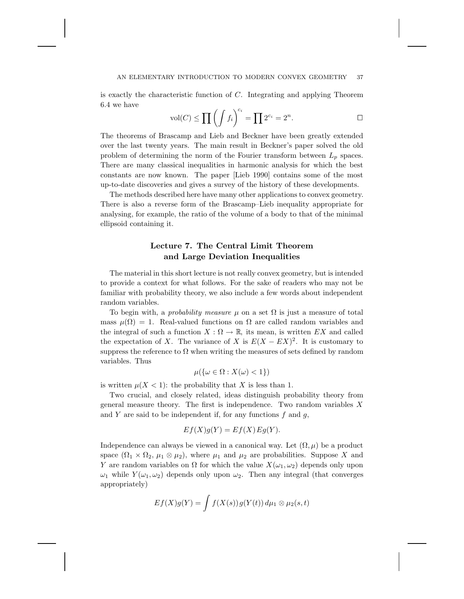is exactly the characteristic function of  $C$ . Integrating and applying Theorem 6.4 we have

$$
\text{vol}(C) \le \prod \left( \int f_i \right)^{c_i} = \prod 2^{c_i} = 2^n. \qquad \qquad \Box
$$

The theorems of Brascamp and Lieb and Beckner have been greatly extended over the last twenty years. The main result in Beckner's paper solved the old problem of determining the norm of the Fourier transform between  $L_p$  spaces. There are many classical inequalities in harmonic analysis for which the best constants are now known. The paper [Lieb 1990] contains some of the most up-to-date discoveries and gives a survey of the history of these developments.

The methods described here have many other applications to convex geometry. There is also a reverse form of the Brascamp–Lieb inequality appropriate for analysing, for example, the ratio of the volume of a body to that of the minimal ellipsoid containing it.

# **Lecture 7. The Central Limit Theorem and Large Deviation Inequalities**

The material in this short lecture is not really convex geometry, but is intended to provide a context for what follows. For the sake of readers who may not be familiar with probability theory, we also include a few words about independent random variables.

To begin with, a *probability measure*  $\mu$  on a set  $\Omega$  is just a measure of total mass  $\mu(\Omega) = 1$ . Real-valued functions on  $\Omega$  are called random variables and the integral of such a function  $X : \Omega \to \mathbb{R}$ , its mean, is written EX and called the expectation of X. The variance of X is  $E(X - EX)^2$ . It is customary to suppress the reference to  $\Omega$  when writing the measures of sets defined by random variables. Thus

$$
\mu(\{\omega \in \Omega : X(\omega) < 1\})
$$

is written  $\mu(X < 1)$ : the probability that X is less than 1.

Two crucial, and closely related, ideas distinguish probability theory from general measure theory. The first is independence. Two random variables  $X$ and Y are said to be independent if, for any functions  $f$  and  $g$ ,

$$
Ef(X)g(Y) = Ef(X)Eg(Y).
$$

Independence can always be viewed in a canonical way. Let  $(\Omega, \mu)$  be a product space  $(\Omega_1 \times \Omega_2, \mu_1 \otimes \mu_2)$ , where  $\mu_1$  and  $\mu_2$  are probabilities. Suppose X and Y are random variables on  $\Omega$  for which the value  $X(\omega_1, \omega_2)$  depends only upon  $\omega_1$  while  $Y(\omega_1, \omega_2)$  depends only upon  $\omega_2$ . Then any integral (that converges appropriately)

$$
Ef(X)g(Y) = \int f(X(s))g(Y(t)) d\mu_1 \otimes \mu_2(s,t)
$$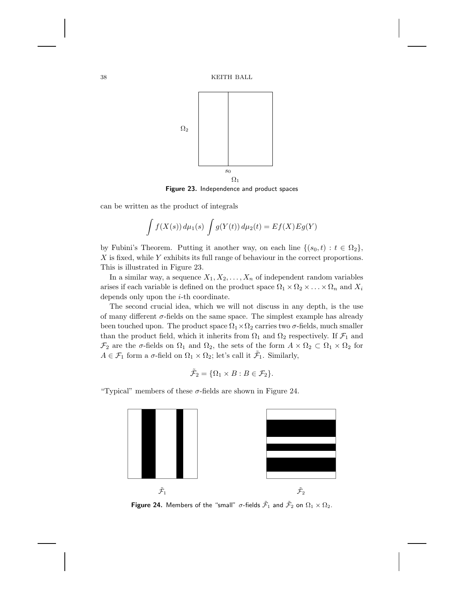

**Figure 23.** Independence and product spaces

can be written as the product of integrals

$$
\int f(X(s)) d\mu_1(s) \int g(Y(t)) d\mu_2(t) = E f(X) E g(Y)
$$

by Fubini's Theorem. Putting it another way, on each line  $\{(s_0, t) : t \in \Omega_2\}$ ,  $X$  is fixed, while  $Y$  exhibits its full range of behaviour in the correct proportions. This is illustrated in Figure 23.

In a similar way, a sequence  $X_1, X_2, \ldots, X_n$  of independent random variables arises if each variable is defined on the product space  $\Omega_1 \times \Omega_2 \times \ldots \times \Omega_n$  and  $X_i$ depends only upon the i-th coordinate.

The second crucial idea, which we will not discuss in any depth, is the use of many different  $\sigma$ -fields on the same space. The simplest example has already been touched upon. The product space  $\Omega_1 \times \Omega_2$  carries two  $\sigma$ -fields, much smaller than the product field, which it inherits from  $\Omega_1$  and  $\Omega_2$  respectively. If  $\mathcal{F}_1$  and  $\mathcal{F}_2$  are the  $\sigma$ -fields on  $\Omega_1$  and  $\Omega_2$ , the sets of the form  $A \times \Omega_2 \subset \Omega_1 \times \Omega_2$  for  $A \in \mathcal{F}_1$  form a  $\sigma$ -field on  $\Omega_1 \times \Omega_2$ ; let's call it  $\tilde{\mathcal{F}}_1$ . Similarly,

$$
\tilde{\mathcal{F}}_2 = \{ \Omega_1 \times B : B \in \mathcal{F}_2 \}.
$$

"Typical" members of these  $\sigma$ -fields are shown in Figure 24.



**Figure 24.** Members of the "small"  $\sigma$ -fields  $\tilde{\mathcal{F}}_1$  and  $\tilde{\mathcal{F}}_2$  on  $\Omega_1 \times \Omega_2$ .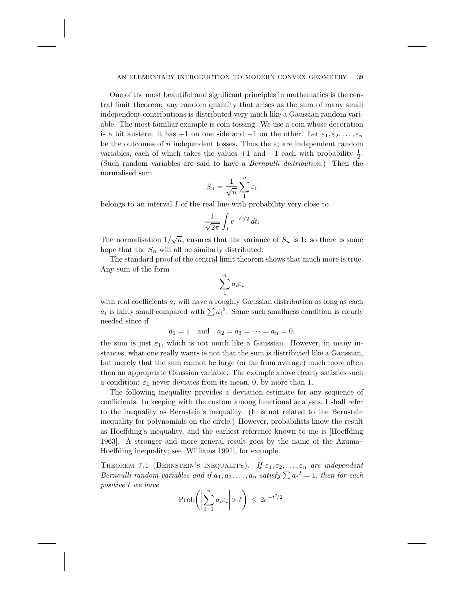One of the most beautiful and significant principles in mathematics is the central limit theorem: any random quantity that arises as the sum of many small independent contributions is distributed very much like a Gaussian random variable. The most familiar example is coin tossing. We use a coin whose decoration is a bit austere: it has +1 on one side and  $-1$  on the other. Let  $\varepsilon_1, \varepsilon_2, \ldots, \varepsilon_n$ be the outcomes of n independent tosses. Thus the  $\varepsilon_i$  are independent random variables, each of which takes the values  $+1$  and  $-1$  each with probability  $\frac{1}{2}$ . (Such random variables are said to have a *Bernoulli distribution*.) Then the normalised sum

$$
S_n = \frac{1}{\sqrt{n}} \sum_{1}^{n} \varepsilon_i
$$

belongs to an interval  $I$  of the real line with probability very close to

$$
\frac{1}{\sqrt{2\pi}} \int_I e^{-t^2/2} dt.
$$

The normalisation  $1/\sqrt{n}$ , ensures that the variance of  $S_n$  is 1: so there is some hope that the  $S_n$  will all be similarly distributed.

The standard proof of the central limit theorem shows that much more is true. Any sum of the form

$$
\sum_1^n a_i\varepsilon_i
$$

with real coefficients  $a_i$  will have a roughly Gaussian distribution as long as each  $a_i$  is fairly small compared with  $\sum a_i^2$ . Some such smallness condition is clearly needed since if

$$
a_1 = 1
$$
 and  $a_2 = a_3 = \cdots = a_n = 0$ ,

the sum is just  $\varepsilon_1$ , which is not much like a Gaussian. However, in many instances, what one really wants is not that the sum is distributed like a Gaussian, but merely that the sum cannot be large (or far from average) much more often than an appropriate Gaussian variable. The example above clearly satisfies such a condition:  $\varepsilon_1$  never deviates from its mean, 0, by more than 1.

The following inequality provides a deviation estimate for any sequence of coefficients. In keeping with the custom among functional analysts, I shall refer to the inequality as Bernstein's inequality. (It is not related to the Bernstein inequality for polynomials on the circle.) However, probabilists know the result as Hoeffding's inequality, and the earliest reference known to me is [Hoeffding 1963]. A stronger and more general result goes by the name of the Azuma– Hoeffding inequality; see [Williams 1991], for example.

THEOREM 7.1 (BERNSTEIN'S INEQUALITY). If  $\varepsilon_1, \varepsilon_2, \ldots, \varepsilon_n$  are independent *Bernoulli random variables and if*  $a_1, a_2, \ldots, a_n$  *satisfy*  $\sum a_i^2 = 1$ *, then for each positive* t *we have*

$$
\text{Prob}\bigg(\bigg|\sum_{i=1}^n a_i \varepsilon_i\bigg| > t\bigg) \le 2e^{-t^2/2}.
$$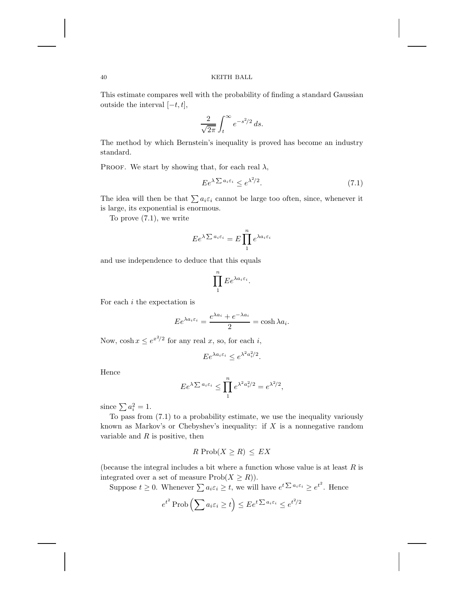This estimate compares well with the probability of finding a standard Gaussian outside the interval  $[-t, t]$ ,

$$
\frac{2}{\sqrt{2\pi}}\int_t^\infty e^{-s^2/2}\,ds.
$$

The method by which Bernstein's inequality is proved has become an industry standard.

PROOF. We start by showing that, for each real  $\lambda$ ,

$$
E e^{\lambda \sum a_i \varepsilon_i} \le e^{\lambda^2/2}.\tag{7.1}
$$

The idea will then be that  $\sum a_i \varepsilon_i$  cannot be large too often, since, whenever it is large, its exponential is enormous.

To prove (7.1), we write

$$
E e^{\lambda \sum a_i \varepsilon_i} = E \prod_1^n e^{\lambda a_i \varepsilon_i}
$$

and use independence to deduce that this equals

$$
\prod_{1}^{n} E e^{\lambda a_i \varepsilon_i}.
$$

For each  $i$  the expectation is

$$
E e^{\lambda a_i \varepsilon_i} = \frac{e^{\lambda a_i} + e^{-\lambda a_i}}{2} = \cosh \lambda a_i.
$$

Now,  $\cosh x \le e^{x^2/2}$  for any real x, so, for each i,

$$
E e^{\lambda a_i \varepsilon_i} \le e^{\lambda^2 a_i^2/2}.
$$

Hence

$$
E e^{\lambda \sum a_i \varepsilon_i} \le \prod_1^n e^{\lambda^2 a_i^2/2} = e^{\lambda^2/2},
$$

since  $\sum a_i^2 = 1$ .

To pass from (7.1) to a probability estimate, we use the inequality variously known as Markov's or Chebyshev's inequality: if  $X$  is a nonnegative random variable and  $R$  is positive, then

$$
R \operatorname{Prob}(X \ge R) \le EX
$$

(because the integral includes a bit where a function whose value is at least  $R$  is integrated over a set of measure  $Prob(X \geq R)$ .

Suppose  $t \geq 0$ . Whenever  $\sum a_i \varepsilon_i \geq t$ , we will have  $e^{t\sum a_i \varepsilon_i} \geq e^{t^2}$ . Hence

$$
e^{t^2} \operatorname{Prob}\left(\sum a_i \varepsilon_i \ge t\right) \le E e^{t \sum a_i \varepsilon_i} \le e^{t^2/2}
$$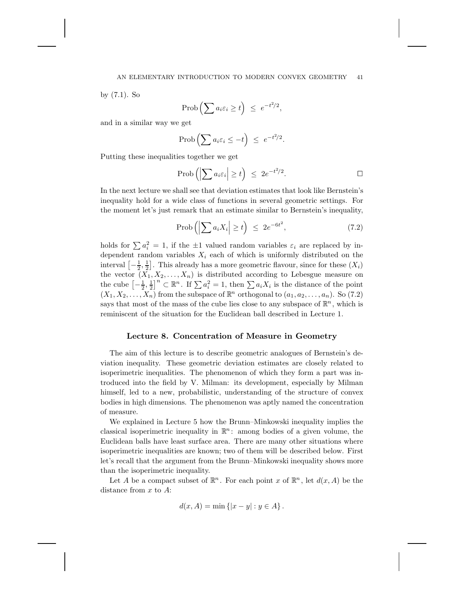#### AN ELEMENTARY INTRODUCTION TO MODERN CONVEX GEOMETRY 41

by (7.1). So

$$
\operatorname{Prob}\left(\sum a_i \varepsilon_i \ge t\right) \ \le \ e^{-t^2/2},
$$

and in a similar way we get

$$
\operatorname{Prob}\left(\sum a_i \varepsilon_i \leq -t\right) \leq e^{-t^2/2}.
$$

Putting these inequalities together we get

$$
\text{Prob}\left(\left|\sum a_i \varepsilon_i\right| \ge t\right) \ \le \ 2e^{-t^2/2}.\tag{}
$$

In the next lecture we shall see that deviation estimates that look like Bernstein's inequality hold for a wide class of functions in several geometric settings. For the moment let's just remark that an estimate similar to Bernstein's inequality,

$$
\text{Prob}\left(\left|\sum a_i X_i\right| \ge t\right) \le 2e^{-6t^2},\tag{7.2}
$$

holds for  $\sum a_i^2 = 1$ , if the  $\pm 1$  valued random variables  $\varepsilon_i$  are replaced by independent random variables  $X_i$  each of which is uniformly distributed on the interval  $\left[-\frac{1}{2}, \frac{1}{2}\right]$ . This already has a more geometric flavour, since for these  $(X_i)$ the vector  $(X_1, X_2, \ldots, X_n)$  is distributed according to Lebesgue measure on the cube  $\left[-\frac{1}{2},\frac{1}{2}\right]^n \subset \mathbb{R}^n$ . If  $\sum a_i^2 = 1$ , then  $\sum a_i X_i$  is the distance of the point  $(X_1, X_2, \ldots, X_n)$  from the subspace of  $\mathbb{R}^n$  orthogonal to  $(a_1, a_2, \ldots, a_n)$ . So (7.2) says that most of the mass of the cube lies close to any subspace of  $\mathbb{R}^n$ , which is reminiscent of the situation for the Euclidean ball described in Lecture 1.

# **Lecture 8. Concentration of Measure in Geometry**

The aim of this lecture is to describe geometric analogues of Bernstein's deviation inequality. These geometric deviation estimates are closely related to isoperimetric inequalities. The phenomenon of which they form a part was introduced into the field by V. Milman: its development, especially by Milman himself, led to a new, probabilistic, understanding of the structure of convex bodies in high dimensions. The phenomenon was aptly named the concentration of measure.

We explained in Lecture 5 how the Brunn–Minkowski inequality implies the classical isoperimetric inequality in  $\mathbb{R}^n$ : among bodies of a given volume, the Euclidean balls have least surface area. There are many other situations where isoperimetric inequalities are known; two of them will be described below. First let's recall that the argument from the Brunn–Minkowski inequality shows more than the isoperimetric inequality.

Let A be a compact subset of  $\mathbb{R}^n$ . For each point x of  $\mathbb{R}^n$ , let  $d(x, A)$  be the distance from  $x$  to  $A$ :

$$
d(x, A) = \min \{ |x - y| : y \in A \}.
$$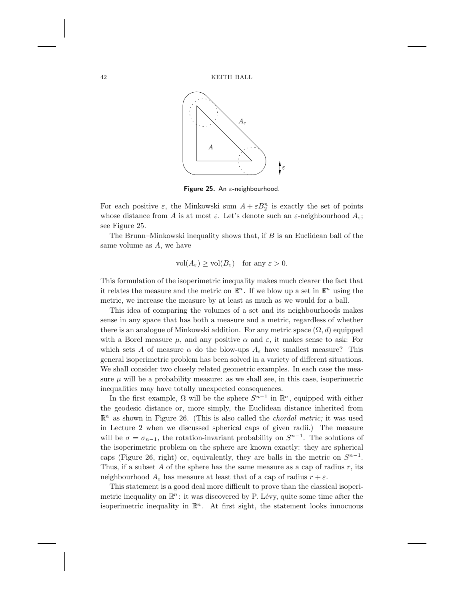

**Figure 25.** An <sup>ε</sup>-neighbourhood.

For each positive  $\varepsilon$ , the Minkowski sum  $A + \varepsilon B_2^n$  is exactly the set of points whose distance from A is at most  $\varepsilon$ . Let's denote such an  $\varepsilon$ -neighbourhood  $A_{\varepsilon}$ ; see Figure 25.

The Brunn–Minkowski inequality shows that, if  $B$  is an Euclidean ball of the same volume as A, we have

$$
\text{vol}(A_{\varepsilon}) \ge \text{vol}(B_{\varepsilon}) \quad \text{for any } \varepsilon > 0.
$$

This formulation of the isoperimetric inequality makes much clearer the fact that it relates the measure and the metric on  $\mathbb{R}^n$ . If we blow up a set in  $\mathbb{R}^n$  using the metric, we increase the measure by at least as much as we would for a ball.

This idea of comparing the volumes of a set and its neighbourhoods makes sense in any space that has both a measure and a metric, regardless of whether there is an analogue of Minkowski addition. For any metric space  $(\Omega, d)$  equipped with a Borel measure  $\mu$ , and any positive  $\alpha$  and  $\varepsilon$ , it makes sense to ask: For which sets A of measure  $\alpha$  do the blow-ups  $A_{\varepsilon}$  have smallest measure? This general isoperimetric problem has been solved in a variety of different situations. We shall consider two closely related geometric examples. In each case the measure  $\mu$  will be a probability measure: as we shall see, in this case, isoperimetric inequalities may have totally unexpected consequences.

In the first example,  $\Omega$  will be the sphere  $S^{n-1}$  in  $\mathbb{R}^n$ , equipped with either the geodesic distance or, more simply, the Euclidean distance inherited from  $\mathbb{R}^n$  as shown in Figure 26. (This is also called the *chordal metric*; it was used in Lecture 2 when we discussed spherical caps of given radii.) The measure will be  $\sigma = \sigma_{n-1}$ , the rotation-invariant probability on  $S^{n-1}$ . The solutions of the isoperimetric problem on the sphere are known exactly: they are spherical caps (Figure 26, right) or, equivalently, they are balls in the metric on  $S^{n-1}$ . Thus, if a subset A of the sphere has the same measure as a cap of radius  $r$ , its neighbourhood  $A_{\varepsilon}$  has measure at least that of a cap of radius  $r + \varepsilon$ .

This statement is a good deal more difficult to prove than the classical isoperimetric inequality on  $\mathbb{R}^n$ : it was discovered by P. Lévy, quite some time after the isoperimetric inequality in  $\mathbb{R}^n$ . At first sight, the statement looks innocuous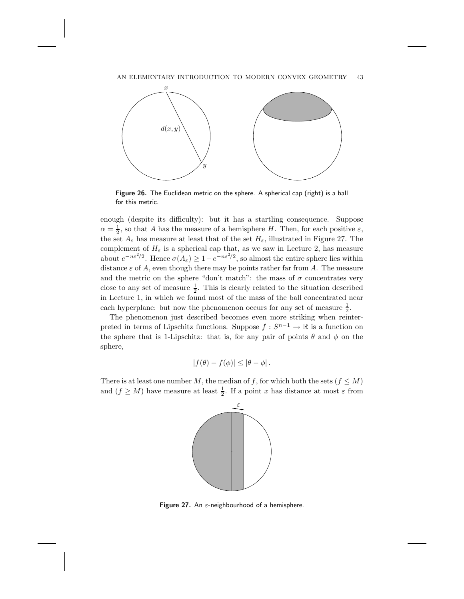#### AN ELEMENTARY INTRODUCTION TO MODERN CONVEX GEOMETRY 43



**Figure 26.** The Euclidean metric on the sphere. A spherical cap (right) is a ball for this metric.

enough (despite its difficulty): but it has a startling consequence. Suppose  $\alpha = \frac{1}{2}$ , so that A has the measure of a hemisphere H. Then, for each positive  $\varepsilon$ , the set  $A_{\varepsilon}$  has measure at least that of the set  $H_{\varepsilon}$ , illustrated in Figure 27. The complement of  $H_{\varepsilon}$  is a spherical cap that, as we saw in Lecture 2, has measure about  $e^{-n\varepsilon^2/2}$ . Hence  $\sigma(A_{\varepsilon}) \geq 1 - e^{-n\varepsilon^2/2}$ , so almost the entire sphere lies within distance  $\varepsilon$  of A, even though there may be points rather far from A. The measure and the metric on the sphere "don't match": the mass of  $\sigma$  concentrates very close to any set of measure  $\frac{1}{2}$ . This is clearly related to the situation described in Lecture 1, in which we found most of the mass of the ball concentrated near each hyperplane: but now the phenomenon occurs for any set of measure  $\frac{1}{2}$ .

The phenomenon just described becomes even more striking when reinterpreted in terms of Lipschitz functions. Suppose  $f : S^{n-1} \to \mathbb{R}$  is a function on the sphere that is 1-Lipschitz: that is, for any pair of points  $\theta$  and  $\phi$  on the sphere,

$$
|f(\theta) - f(\phi)| \leq |\theta - \phi|.
$$

There is at least one number M, the median of f, for which both the sets ( $f \leq M$ ) and  $(f \geq M)$  have measure at least  $\frac{1}{2}$ . If a point x has distance at most  $\varepsilon$  from



**Figure 27.** An  $\varepsilon$ -neighbourhood of a hemisphere.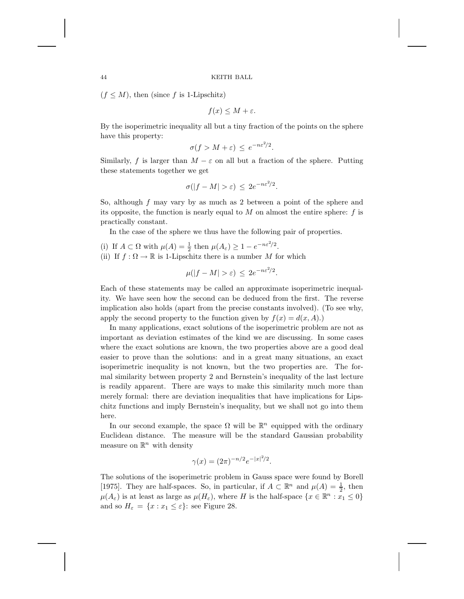$(f \leq M)$ , then (since f is 1-Lipschitz)

$$
f(x) \le M + \varepsilon.
$$

By the isoperimetric inequality all but a tiny fraction of the points on the sphere have this property:

$$
\sigma(f > M + \varepsilon) \le e^{-n\varepsilon^2/2}.
$$

Similarly, f is larger than  $M - \varepsilon$  on all but a fraction of the sphere. Putting these statements together we get

$$
\sigma(|f - M| > \varepsilon) \le 2e^{-n\varepsilon^2/2}.
$$

So, although f may vary by as much as 2 between a point of the sphere and its opposite, the function is nearly equal to  $M$  on almost the entire sphere:  $f$  is practically constant.

In the case of the sphere we thus have the following pair of properties.

- (i) If  $A \subset \Omega$  with  $\mu(A) = \frac{1}{2}$  then  $\mu(A_{\varepsilon}) \geq 1 e^{-n\varepsilon^2/2}$ .
- (ii) If  $f : \Omega \to \mathbb{R}$  is 1-Lipschitz there is a number M for which

$$
\mu(|f - M| > \varepsilon) \le 2e^{-n\varepsilon^2/2}.
$$

Each of these statements may be called an approximate isoperimetric inequality. We have seen how the second can be deduced from the first. The reverse implication also holds (apart from the precise constants involved). (To see why, apply the second property to the function given by  $f(x) = d(x, A)$ .)

In many applications, exact solutions of the isoperimetric problem are not as important as deviation estimates of the kind we are discussing. In some cases where the exact solutions are known, the two properties above are a good deal easier to prove than the solutions: and in a great many situations, an exact isoperimetric inequality is not known, but the two properties are. The formal similarity between property 2 and Bernstein's inequality of the last lecture is readily apparent. There are ways to make this similarity much more than merely formal: there are deviation inequalities that have implications for Lipschitz functions and imply Bernstein's inequality, but we shall not go into them here.

In our second example, the space  $\Omega$  will be  $\mathbb{R}^n$  equipped with the ordinary Euclidean distance. The measure will be the standard Gaussian probability measure on  $\mathbb{R}^n$  with density

$$
\gamma(x) = (2\pi)^{-n/2} e^{-|x|^2/2}.
$$

The solutions of the isoperimetric problem in Gauss space were found by Borell [1975]. They are half-spaces. So, in particular, if  $A \subset \mathbb{R}^n$  and  $\mu(A) = \frac{1}{2}$ , then  $\mu(A_{\varepsilon})$  is at least as large as  $\mu(H_{\varepsilon})$ , where H is the half-space  $\{x \in \mathbb{R}^n : x_1 \leq 0\}$ and so  $H_{\varepsilon} = \{x : x_1 \leq \varepsilon\}$ : see Figure 28.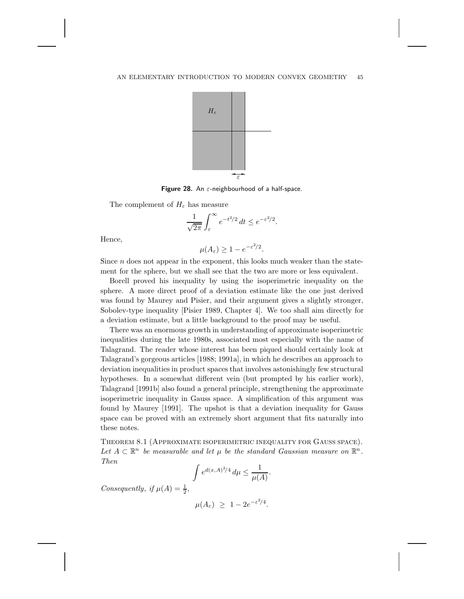

**Figure 28.** An <sup>ε</sup>-neighbourhood of a half-space.

The complement of  $H_{\varepsilon}$  has measure

$$
\frac{1}{\sqrt{2\pi}}\int_{\varepsilon}^{\infty}e^{-t^2/2}\,dt\leq e^{-\varepsilon^2/2}.
$$

Hence,

$$
\mu(A_{\varepsilon}) \ge 1 - e^{-\varepsilon^2/2}.
$$

Since  $n$  does not appear in the exponent, this looks much weaker than the statement for the sphere, but we shall see that the two are more or less equivalent.

Borell proved his inequality by using the isoperimetric inequality on the sphere. A more direct proof of a deviation estimate like the one just derived was found by Maurey and Pisier, and their argument gives a slightly stronger, Sobolev-type inequality [Pisier 1989, Chapter 4]. We too shall aim directly for a deviation estimate, but a little background to the proof may be useful.

There was an enormous growth in understanding of approximate isoperimetric inequalities during the late 1980s, associated most especially with the name of Talagrand. The reader whose interest has been piqued should certainly look at Talagrand's gorgeous articles [1988; 1991a], in which he describes an approach to deviation inequalities in product spaces that involves astonishingly few structural hypotheses. In a somewhat different vein (but prompted by his earlier work), Talagrand [1991b] also found a general principle, strengthening the approximate isoperimetric inequality in Gauss space. A simplification of this argument was found by Maurey [1991]. The upshot is that a deviation inequality for Gauss space can be proved with an extremely short argument that fits naturally into these notes.

Theorem 8.1 (Approximate isoperimetric inequality for Gauss space). Let  $A \subset \mathbb{R}^n$  be measurable and let  $\mu$  be the standard Gaussian measure on  $\mathbb{R}^n$ . *Then*

$$
\int e^{d(x,A)^2/4} \, d\mu \le \frac{1}{\mu(A)}
$$

.

*Consequently, if*  $\mu(A) = \frac{1}{2}$ ,

$$
\mu(A_{\varepsilon}) \geq 1 - 2e^{-\varepsilon^2/4}.
$$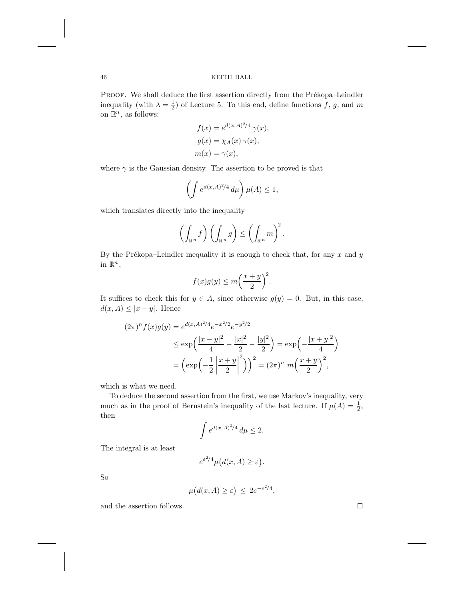PROOF. We shall deduce the first assertion directly from the Prékopa–Leindler inequality (with  $\lambda = \frac{1}{2}$ ) of Lecture 5. To this end, define functions f, g, and m on  $\mathbb{R}^n$  , as follows:

$$
f(x) = e^{d(x,A)^{2}/4} \gamma(x),
$$
  
\n
$$
g(x) = \chi_A(x) \gamma(x),
$$
  
\n
$$
m(x) = \gamma(x),
$$

where  $\gamma$  is the Gaussian density. The assertion to be proved is that

$$
\left(\int e^{d(x,A)^2/4} \, d\mu\right) \mu(A) \le 1,
$$

which translates directly into the inequality

$$
\left(\int_{\mathbb{R}^n} f\right) \left(\int_{\mathbb{R}^n} g\right) \leq \left(\int_{\mathbb{R}^n} m\right)^2.
$$

By the Prékopa–Leindler inequality it is enough to check that, for any  $x$  and  $y$ in  $\mathbb{R}^n$ ,

$$
f(x)g(y) \le m\left(\frac{x+y}{2}\right)^2.
$$

It suffices to check this for  $y \in A$ , since otherwise  $g(y) = 0$ . But, in this case,  $d(x, A) \leq |x - y|$ . Hence

$$
(2\pi)^n f(x)g(y) = e^{d(x,A)^2/4}e^{-x^2/2}e^{-y^2/2}
$$
  
\n
$$
\leq \exp\left(\frac{|x-y|^2}{4} - \frac{|x|^2}{2} - \frac{|y|^2}{2}\right) = \exp\left(-\frac{|x+y|^2}{4}\right)
$$
  
\n
$$
= \left(\exp\left(-\frac{1}{2}\left|\frac{x+y}{2}\right|^2\right)\right)^2 = (2\pi)^n m\left(\frac{x+y}{2}\right)^2,
$$

which is what we need.

To deduce the second assertion from the first, we use Markov's inequality, very much as in the proof of Bernstein's inequality of the last lecture. If  $\mu(A) = \frac{1}{2}$ , then

$$
\int e^{d(x,A)^2/4} \, d\mu \le 2.
$$

The integral is at least

$$
e^{\varepsilon^2/4}\mu\big(d(x,A)\ge\varepsilon\big).
$$

So

$$
\mu(d(x, A) \ge \varepsilon) \le 2e^{-\varepsilon^2/4},
$$

and the assertion follows.  $\hfill \square$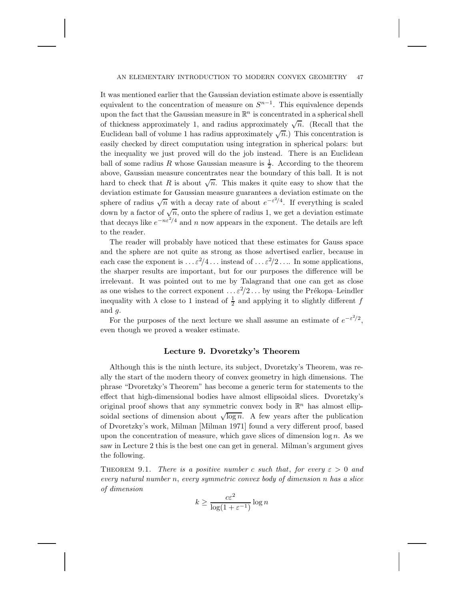It was mentioned earlier that the Gaussian deviation estimate above is essentially equivalent to the concentration of measure on  $S^{n-1}$ . This equivalence depends upon the fact that the Gaussian measure in  $\mathbb{R}^n$  is concentrated in a spherical shell of thickness approximately 1, and radius approximately  $\sqrt{n}$ . (Recall that the Euclidean ball of volume 1 has radius approximately  $\sqrt{n}$ .) This concentration is easily checked by direct computation using integration in spherical polars: but the inequality we just proved will do the job instead. There is an Euclidean ball of some radius R whose Gaussian measure is  $\frac{1}{2}$ . According to the theorem above, Gaussian measure concentrates near the boundary of this ball. It is not hard to check that R is about  $\sqrt{n}$ . This makes it quite easy to show that the deviation estimate for Gaussian measure guarantees a deviation estimate on the sphere of radius  $\sqrt{n}$  with a decay rate of about  $e^{-\epsilon^2/4}$ . If everything is scaled down by a factor of  $\sqrt{n}$ , onto the sphere of radius 1, we get a deviation estimate that decays like  $e^{-n\varepsilon^2/4}$  and n now appears in the exponent. The details are left to the reader.

The reader will probably have noticed that these estimates for Gauss space and the sphere are not quite as strong as those advertised earlier, because in each case the exponent is  $\ldots \varepsilon^2/4 \ldots$  instead of  $\ldots \varepsilon^2/2 \ldots$  In some applications, the sharper results are important, but for our purposes the difference will be irrelevant. It was pointed out to me by Talagrand that one can get as close as one wishes to the correct exponent  $\ldots \varepsilon^2/2 \ldots$  by using the Prékopa–Leindler inequality with  $\lambda$  close to 1 instead of  $\frac{1}{2}$  and applying it to slightly different  $f$ and g.

For the purposes of the next lecture we shall assume an estimate of  $e^{-\varepsilon^2/2}$ , even though we proved a weaker estimate.

### **Lecture 9. Dvoretzky's Theorem**

Although this is the ninth lecture, its subject, Dvoretzky's Theorem, was really the start of the modern theory of convex geometry in high dimensions. The phrase "Dvoretzky's Theorem" has become a generic term for statements to the effect that high-dimensional bodies have almost ellipsoidal slices. Dvoretzky's original proof shows that any symmetric convex body in  $\mathbb{R}^n$  has almost ellipsoidal sections of dimension about  $\sqrt{\log n}$ . A few years after the publication of Dvoretzky's work, Milman [Milman 1971] found a very different proof, based upon the concentration of measure, which gave slices of dimension  $\log n$ . As we saw in Lecture 2 this is the best one can get in general. Milman's argument gives the following.

**THEOREM** 9.1. *There is a positive number* c *such that, for every*  $\varepsilon > 0$  *and every natural number* n, *every symmetric convex body of dimension* n *has a slice of dimension*

$$
k \ge \frac{c\varepsilon^2}{\log(1 + \varepsilon^{-1})} \log n
$$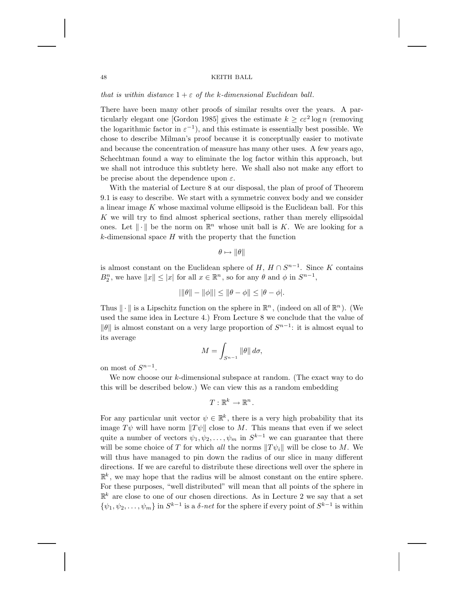*that is within distance*  $1 + \varepsilon$  *of the k-dimensional Euclidean ball.* 

There have been many other proofs of similar results over the years. A particularly elegant one [Gordon 1985] gives the estimate  $k \geq c\epsilon^2 \log n$  (removing the logarithmic factor in  $\varepsilon^{-1}$ ), and this estimate is essentially best possible. We chose to describe Milman's proof because it is conceptually easier to motivate and because the concentration of measure has many other uses. A few years ago, Schechtman found a way to eliminate the log factor within this approach, but we shall not introduce this subtlety here. We shall also not make any effort to be precise about the dependence upon  $\varepsilon$ .

With the material of Lecture 8 at our disposal, the plan of proof of Theorem 9.1 is easy to describe. We start with a symmetric convex body and we consider a linear image  $K$  whose maximal volume ellipsoid is the Euclidean ball. For this K we will try to find almost spherical sections, rather than merely ellipsoidal ones. Let  $\|\cdot\|$  be the norm on  $\mathbb{R}^n$  whose unit ball is K. We are looking for a  $k$ -dimensional space  $H$  with the property that the function

$$
\theta \mapsto \|\theta\|
$$

is almost constant on the Euclidean sphere of  $H, H \cap S^{n-1}$ . Since K contains  $B_2^n$ , we have  $||x|| \leq |x|$  for all  $x \in \mathbb{R}^n$ , so for any  $\theta$  and  $\phi$  in  $S^{n-1}$ ,

$$
||\|\theta|| - ||\phi||| \le ||\theta - \phi|| \le |\theta - \phi|.
$$

Thus  $\|\cdot\|$  is a Lipschitz function on the sphere in  $\mathbb{R}^n$ , (indeed on all of  $\mathbb{R}^n$ ). (We used the same idea in Lecture 4.) From Lecture 8 we conclude that the value of  $\|\theta\|$  is almost constant on a very large proportion of  $S^{n-1}$ : it is almost equal to its average

$$
M = \int_{S^{n-1}} \|\theta\| \, d\sigma,
$$

on most of  $S^{n-1}$ .

We now choose our  $k$ -dimensional subspace at random. (The exact way to do this will be described below.) We can view this as a random embedding

$$
T:\mathbb{R}^k\to\mathbb{R}^n\,.
$$

For any particular unit vector  $\psi \in \mathbb{R}^k$ , there is a very high probability that its image  $T\psi$  will have norm  $||T\psi||$  close to M. This means that even if we select quite a number of vectors  $\psi_1, \psi_2, \ldots, \psi_m$  in  $S^{k-1}$  we can guarantee that there will be some choice of T for which *all* the norms  $||T \psi_i||$  will be close to M. We will thus have managed to pin down the radius of our slice in many different directions. If we are careful to distribute these directions well over the sphere in  $\mathbb{R}^k$ , we may hope that the radius will be almost constant on the entire sphere. For these purposes, "well distributed" will mean that all points of the sphere in  $\mathbb{R}^k$  are close to one of our chosen directions. As in Lecture 2 we say that a set  $\{\psi_1, \psi_2, \dots, \psi_m\}$  in  $S^{k-1}$  is a  $\delta$ -net for the sphere if every point of  $S^{k-1}$  is within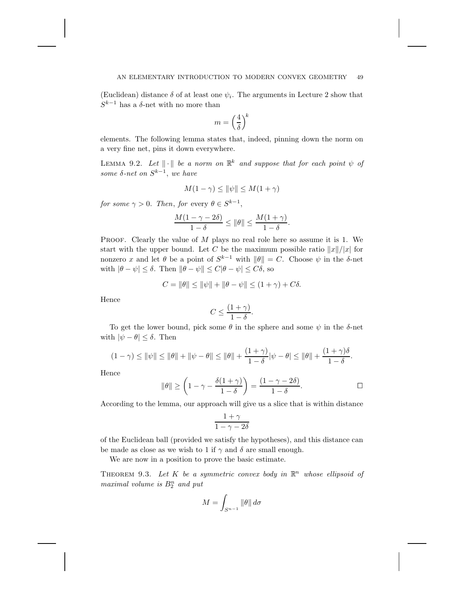(Euclidean) distance  $\delta$  of at least one  $\psi_i$ . The arguments in Lecture 2 show that  $S^{k-1}$  has a  $\delta$ -net with no more than

$$
m=\left(\frac{4}{\delta}\right)^{\!k}
$$

elements. The following lemma states that, indeed, pinning down the norm on a very fine net, pins it down everywhere.

LEMMA 9.2. Let  $\|\cdot\|$  be a norm on  $\mathbb{R}^k$  and suppose that for each point  $\psi$  of *some* δ*-net on* S<sup>k</sup>−<sup>1</sup>, *we have*

$$
M(1-\gamma) \le \|\psi\| \le M(1+\gamma)
$$

*for some*  $\gamma > 0$ *. Then, for* every  $\theta \in S^{k-1}$ ,

$$
\frac{M(1-\gamma-2\delta)}{1-\delta} \le \|\theta\| \le \frac{M(1+\gamma)}{1-\delta}.
$$

PROOF. Clearly the value of  $M$  plays no real role here so assume it is 1. We start with the upper bound. Let C be the maximum possible ratio  $||x||/|x|$  for nonzero x and let  $\theta$  be a point of  $S^{k-1}$  with  $\|\theta\| = C$ . Choose  $\psi$  in the δ-net with  $|\theta - \psi| \le \delta$ . Then  $\|\theta - \psi\| \le C|\theta - \psi| \le C\delta$ , so

$$
C = \|\theta\| \le \|\psi\| + \|\theta - \psi\| \le (1 + \gamma) + C\delta.
$$

Hence

$$
C \le \frac{(1+\gamma)}{1-\delta}.
$$

To get the lower bound, pick some  $\theta$  in the sphere and some  $\psi$  in the  $\delta$ -net with  $|\psi - \theta| \leq \delta$ . Then

$$
(1 - \gamma) \le ||\psi|| \le ||\theta|| + ||\psi - \theta|| \le ||\theta|| + \frac{(1 + \gamma)}{1 - \delta}|\psi - \theta| \le ||\theta|| + \frac{(1 + \gamma)\delta}{1 - \delta}.
$$

Hence

$$
\|\theta\| \ge \left(1-\gamma - \frac{\delta(1+\gamma)}{1-\delta}\right) = \frac{(1-\gamma-2\delta)}{1-\delta}.
$$

According to the lemma, our approach will give us a slice that is within distance

$$
\frac{1+\gamma}{1-\gamma-2\delta}
$$

of the Euclidean ball (provided we satisfy the hypotheses), and this distance can be made as close as we wish to 1 if  $\gamma$  and  $\delta$  are small enough.

We are now in a position to prove the basic estimate.

THEOREM 9.3. Let  $K$  be a symmetric convex body in  $\mathbb{R}^n$  whose ellipsoid of *maximal volume is*  $B_2^n$  *and put* 

$$
M = \int_{S^{n-1}} \|\theta\| \, d\sigma
$$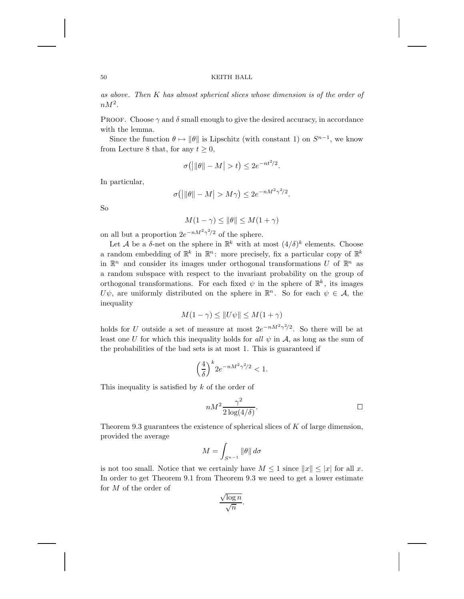*as above*. *Then* K *has almost spherical slices whose dimension is of the order of*  $nM^2$ .

PROOF. Choose  $\gamma$  and  $\delta$  small enough to give the desired accuracy, in accordance with the lemma.

Since the function  $\theta \mapsto \|\theta\|$  is Lipschitz (with constant 1) on  $S^{n-1}$ , we know from Lecture 8 that, for any  $t \geq 0$ ,

$$
\sigma\big(\big|\|\theta\| - M\big| > t\big) \le 2e^{-nt^2/2}.
$$

In particular,

$$
\sigma(|\|\theta\| - M| > M\gamma) \le 2e^{-nM^2\gamma^2/2}.
$$

So

$$
M(1 - \gamma) \le \|\theta\| \le M(1 + \gamma)
$$

on all but a proportion  $2e^{-nM^2\gamma^2/2}$  of the sphere.

Let A be a  $\delta$ -net on the sphere in  $\mathbb{R}^k$  with at most  $(4/\delta)^k$  elements. Choose a random embedding of  $\mathbb{R}^k$  in  $\mathbb{R}^n$ : more precisely, fix a particular copy of  $\mathbb{R}^k$ in  $\mathbb{R}^n$  and consider its images under orthogonal transformations U of  $\mathbb{R}^n$  as a random subspace with respect to the invariant probability on the group of orthogonal transformations. For each fixed  $\psi$  in the sphere of  $\mathbb{R}^k$ , its images U $\psi$ , are uniformly distributed on the sphere in  $\mathbb{R}^n$ . So for each  $\psi \in \mathcal{A}$ , the inequality

$$
M(1 - \gamma) \le ||U\psi|| \le M(1 + \gamma)
$$

holds for U outside a set of measure at most  $2e^{-nM^2\gamma^2/2}$ . So there will be at least one U for which this inequality holds for all  $\psi$  in A, as long as the sum of the probabilities of the bad sets is at most 1. This is guaranteed if

$$
\left(\frac{4}{\delta}\right)^k 2e^{-nM^2\gamma^2/2} < 1.
$$

This inequality is satisfied by  $k$  of the order of

$$
nM^2 \frac{\gamma^2}{2\log(4/\delta)}.
$$

Theorem 9.3 guarantees the existence of spherical slices of  $K$  of large dimension, provided the average

$$
M = \int_{S^{n-1}} \|\theta\| \, d\sigma
$$

is not too small. Notice that we certainly have  $M \leq 1$  since  $||x|| \leq |x|$  for all x. In order to get Theorem 9.1 from Theorem 9.3 we need to get a lower estimate for M of the order of

$$
\frac{\sqrt{\log n}}{\sqrt{n}}.
$$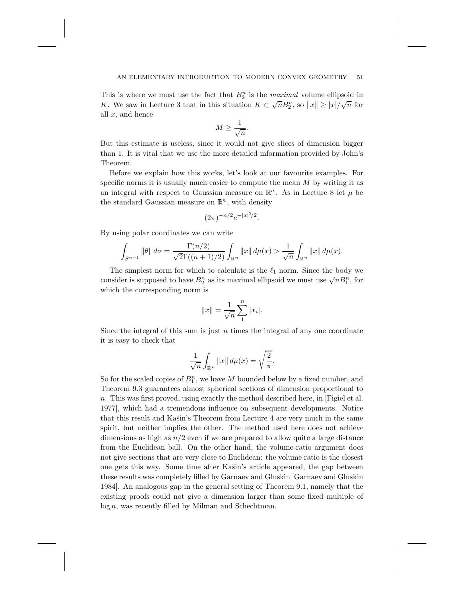This is where we must use the fact that  $B_2^n$  is the *maximal* volume ellipsoid in K. We saw in Lecture 3 that in this situation  $K \subset \sqrt{n}B_2^n$ , so  $||x|| \ge |x|/\sqrt{n}$  for all  $x$ , and hence

$$
M \ge \frac{1}{\sqrt{n}}.
$$

But this estimate is useless, since it would not give slices of dimension bigger than 1. It is vital that we use the more detailed information provided by John's Theorem.

Before we explain how this works, let's look at our favourite examples. For specific norms it is usually much easier to compute the mean  $M$  by writing it as an integral with respect to Gaussian measure on  $\mathbb{R}^n$ . As in Lecture 8 let  $\mu$  be the standard Gaussian measure on  $\mathbb{R}^n$ , with density

$$
(2\pi)^{-n/2}e^{-|x|^2/2}.
$$

By using polar coordinates we can write

$$
\int_{S^{n-1}} \|\theta\| d\sigma = \frac{\Gamma(n/2)}{\sqrt{2}\Gamma((n+1)/2)} \int_{\mathbb{R}^n} \|x\| d\mu(x) > \frac{1}{\sqrt{n}} \int_{\mathbb{R}^n} \|x\| d\mu(x).
$$

The simplest norm for which to calculate is the  $\ell_1$  norm. Since the body we The simplest norm for which to calculate is the  $\epsilon_1$  norm. Since the body we consider is supposed to have  $B_2^n$  as its maximal ellipsoid we must use  $\sqrt{n}B_1^n$ , for which the corresponding norm is

$$
||x|| = \frac{1}{\sqrt{n}} \sum_{1}^{n} |x_i|.
$$

Since the integral of this sum is just  $n$  times the integral of any one coordinate it is easy to check that

$$
\frac{1}{\sqrt{n}}\int_{\mathbb{R}^n}||x||\,d\mu(x)=\sqrt{\frac{2}{\pi}}.
$$

So for the scaled copies of  $B_1^n$ , we have M bounded below by a fixed number, and Theorem 9.3 guarantees almost spherical sections of dimension proportional to n. This was first proved, using exactly the method described here, in [Figiel et al. 1977], which had a tremendous influence on subsequent developments. Notice that this result and Kašin's Theorem from Lecture 4 are very much in the same spirit, but neither implies the other. The method used here does not achieve dimensions as high as  $n/2$  even if we are prepared to allow quite a large distance from the Euclidean ball. On the other hand, the volume-ratio argument does not give sections that are very close to Euclidean: the volume ratio is the closest one gets this way. Some time after Kašin's article appeared, the gap between these results was completely filled by Garnaev and Gluskin [Garnaev and Gluskin 1984]. An analogous gap in the general setting of Theorem 9.1, namely that the existing proofs could not give a dimension larger than some fixed multiple of  $log n$ , was recently filled by Milman and Schechtman.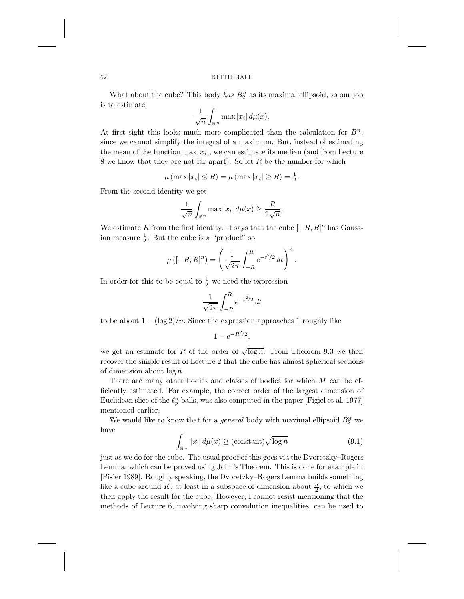What about the cube? This body *has*  $B_2^n$  as its maximal ellipsoid, so our job is to estimate

$$
\frac{1}{\sqrt{n}} \int_{\mathbb{R}^n} \max |x_i| \, d\mu(x).
$$

At first sight this looks much more complicated than the calculation for  $B_1^n$ , since we cannot simplify the integral of a maximum. But, instead of estimating the mean of the function  $\max |x_i|$ , we can estimate its median (and from Lecture 8 we know that they are not far apart). So let  $R$  be the number for which

$$
\mu \left( \max |x_i| \le R \right) = \mu \left( \max |x_i| \ge R \right) = \frac{1}{2}.
$$

From the second identity we get

$$
\frac{1}{\sqrt{n}} \int_{\mathbb{R}^n} \max |x_i| \, d\mu(x) \ge \frac{R}{2\sqrt{n}}.
$$

We estimate R from the first identity. It says that the cube  $[-R, R]^n$  has Gaussian measure  $\frac{1}{2}$ . But the cube is a "product" so

$$
\mu\left([-R,R]^n\right) = \left(\frac{1}{\sqrt{2\pi}} \int_{-R}^R e^{-t^2/2} dt\right)^n.
$$

In order for this to be equal to  $\frac{1}{2}$  we need the expression

$$
\frac{1}{\sqrt{2\pi}}\int_{-R}^R e^{-t^2/2}\,dt
$$

to be about  $1 - (\log 2)/n$ . Since the expression approaches 1 roughly like

$$
1-e^{-R^2/2},
$$

we get an estimate for R of the order of  $\sqrt{\log n}$ . From Theorem 9.3 we then recover the simple result of Lecture 2 that the cube has almost spherical sections of dimension about  $\log n$ .

There are many other bodies and classes of bodies for which M can be efficiently estimated. For example, the correct order of the largest dimension of Euclidean slice of the  $\ell_p^n$  balls, was also computed in the paper [Figiel et al. 1977] mentioned earlier.

We would like to know that for a *general* body with maximal ellipsoid  $B_2^n$  we have

$$
\int_{\mathbb{R}^n} \|x\| \, d\mu(x) \ge (\text{constant}) \sqrt{\log n} \tag{9.1}
$$

just as we do for the cube. The usual proof of this goes via the Dvoretzky–Rogers Lemma, which can be proved using John's Theorem. This is done for example in [Pisier 1989]. Roughly speaking, the Dvoretzky–Rogers Lemma builds something like a cube around K, at least in a subspace of dimension about  $\frac{n}{2}$ , to which we then apply the result for the cube. However, I cannot resist mentioning that the methods of Lecture 6, involving sharp convolution inequalities, can be used to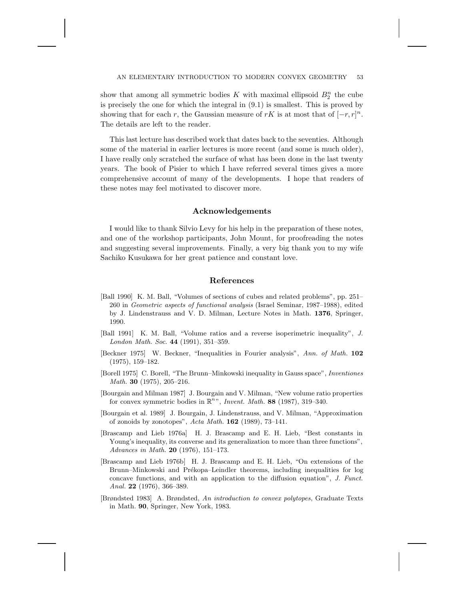show that among all symmetric bodies  $K$  with maximal ellipsoid  $B_2^n$  the cube is precisely the one for which the integral in (9.1) is smallest. This is proved by showing that for each r, the Gaussian measure of rK is at most that of  $[-r, r]^n$ . The details are left to the reader.

This last lecture has described work that dates back to the seventies. Although some of the material in earlier lectures is more recent (and some is much older), I have really only scratched the surface of what has been done in the last twenty years. The book of Pisier to which I have referred several times gives a more comprehensive account of many of the developments. I hope that readers of these notes may feel motivated to discover more.

### **Acknowledgements**

I would like to thank Silvio Levy for his help in the preparation of these notes, and one of the workshop participants, John Mount, for proofreading the notes and suggesting several improvements. Finally, a very big thank you to my wife Sachiko Kusukawa for her great patience and constant love.

# **References**

- [Ball 1990] K. M. Ball, "Volumes of sections of cubes and related problems", pp. 251– 260 in Geometric aspects of functional analysis (Israel Seminar, 1987–1988), edited by J. Lindenstrauss and V. D. Milman, Lecture Notes in Math. **1376**, Springer, 1990.
- [Ball 1991] K. M. Ball, "Volume ratios and a reverse isoperimetric inequality", J. London Math. Soc. **44** (1991), 351–359.
- [Beckner 1975] W. Beckner, "Inequalities in Fourier analysis", Ann. of Math. **102** (1975), 159–182.
- [Borell 1975] C. Borell, "The Brunn–Minkowski inequality in Gauss space", Inventiones Math. **30** (1975), 205–216.
- [Bourgain and Milman 1987] J. Bourgain and V. Milman, "New volume ratio properties for convex symmetric bodies in  $\mathbb{R}^n$ ", *Invent. Math.* **88** (1987), 319-340.
- [Bourgain et al. 1989] J. Bourgain, J. Lindenstrauss, and V. Milman, "Approximation of zonoids by zonotopes", Acta Math. **162** (1989), 73–141.
- [Brascamp and Lieb 1976a] H. J. Brascamp and E. H. Lieb, "Best constants in Young's inequality, its converse and its generalization to more than three functions", Advances in Math. **20** (1976), 151–173.
- [Brascamp and Lieb 1976b] H. J. Brascamp and E. H. Lieb, "On extensions of the Brunn–Minkowski and Prékopa–Leindler theorems, including inequalities for log concave functions, and with an application to the diffusion equation", J. Funct. Anal. **22** (1976), 366–389.
- [Brøndsted 1983] A. Brøndsted, An introduction to convex polytopes, Graduate Texts in Math. **90**, Springer, New York, 1983.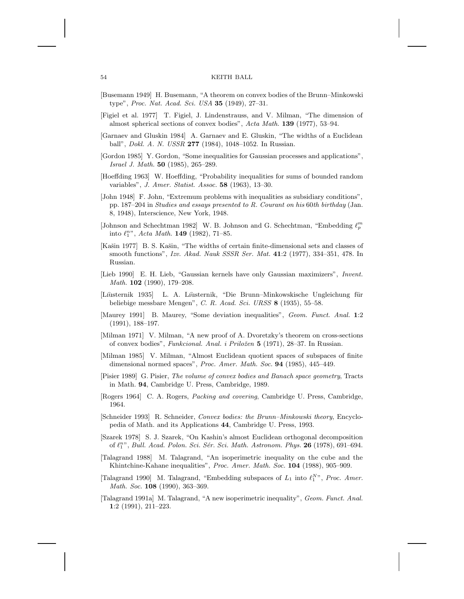- [Busemann 1949] H. Busemann, "A theorem on convex bodies of the Brunn–Minkowski type", Proc. Nat. Acad. Sci. USA **35** (1949), 27–31.
- [Figiel et al. 1977] T. Figiel, J. Lindenstrauss, and V. Milman, "The dimension of almost spherical sections of convex bodies", Acta Math. **139** (1977), 53–94.
- [Garnaev and Gluskin 1984] A. Garnaev and E. Gluskin, "The widths of a Euclidean ball", Dokl. A. N. USSR **277** (1984), 1048–1052. In Russian.
- [Gordon 1985] Y. Gordon, "Some inequalities for Gaussian processes and applications", Israel J. Math. **50** (1985), 265–289.
- [Hoeffding 1963] W. Hoeffding, "Probability inequalities for sums of bounded random variables", J. Amer. Statist. Assoc. **58** (1963), 13–30.
- [John 1948] F. John, "Extremum problems with inequalities as subsidiary conditions", pp. 187–204 in Studies and essays presented to R. Courant on his 60th birthday (Jan. 8, 1948), Interscience, New York, 1948.
- [Johnson and Schechtman 1982] W. B. Johnson and G. Schechtman, "Embedding  $\ell_p^m$ into  $\ell_1^{n}$ ", Acta Math. **149** (1982), 71–85.
- [Kašin 1977] B. S. Kašin, "The widths of certain finite-dimensional sets and classes of smooth functions", Izv. Akad. Nauk SSSR Ser. Mat. **41**:2 (1977), 334–351, 478. In Russian.
- [Lieb 1990] E. H. Lieb, "Gaussian kernels have only Gaussian maximizers", Invent. Math. **102** (1990), 179–208.
- [Liusternik 1935] L. A. Liusternik, "Die Brunn–Minkowskische Ungleichung für beliebige messbare Mengen", C. R. Acad. Sci. URSS **8** (1935), 55–58.
- [Maurey 1991] B. Maurey, "Some deviation inequalities", Geom. Funct. Anal. **1**:2 (1991), 188–197.
- [Milman 1971] V. Milman, "A new proof of A. Dvoretzky's theorem on cross-sections of convex bodies", Funkcional. Anal. i Priloˇzen **5** (1971), 28–37. In Russian.
- [Milman 1985] V. Milman, "Almost Euclidean quotient spaces of subspaces of finite dimensional normed spaces", Proc. Amer. Math. Soc. **94** (1985), 445–449.
- [Pisier 1989] G. Pisier, The volume of convex bodies and Banach space geometry, Tracts in Math. **94**, Cambridge U. Press, Cambridge, 1989.
- [Rogers 1964] C. A. Rogers, Packing and covering, Cambridge U. Press, Cambridge, 1964.
- [Schneider 1993] R. Schneider, Convex bodies: the Brunn–Minkowski theory, Encyclopedia of Math. and its Applications **44**, Cambridge U. Press, 1993.
- [Szarek 1978] S. J. Szarek, "On Kashin's almost Euclidean orthogonal decomposition of  $\ell_1^{n}$ , Bull. Acad. Polon. Sci. Sér. Sci. Math. Astronom. Phys. **26** (1978), 691–694.
- [Talagrand 1988] M. Talagrand, "An isoperimetric inequality on the cube and the Khintchine-Kahane inequalities", Proc. Amer. Math. Soc. **104** (1988), 905–909.
- [Talagrand 1990] M. Talagrand, "Embedding subspaces of  $L_1$  into  $\ell_1^{N}$ ", Proc. Amer. Math. Soc. **108** (1990), 363–369.
- [Talagrand 1991a] M. Talagrand, "A new isoperimetric inequality", Geom. Funct. Anal. **1**:2 (1991), 211–223.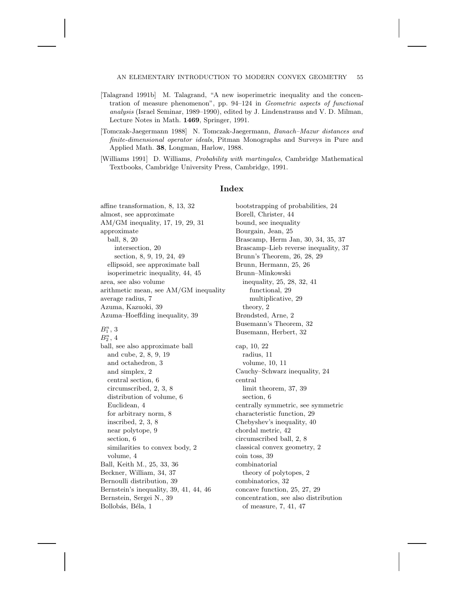### AN ELEMENTARY INTRODUCTION TO MODERN CONVEX GEOMETRY 55

- [Talagrand 1991b] M. Talagrand, "A new isoperimetric inequality and the concentration of measure phenomenon", pp. 94–124 in Geometric aspects of functional analysis (Israel Seminar, 1989–1990), edited by J. Lindenstrauss and V. D. Milman, Lecture Notes in Math. **1469**, Springer, 1991.
- [Tomczak-Jaegermann 1988] N. Tomczak-Jaegermann, Banach–Mazur distances and finite-dimensional operator ideals, Pitman Monographs and Surveys in Pure and Applied Math. **38**, Longman, Harlow, 1988.
- [Williams 1991] D. Williams, Probability with martingales, Cambridge Mathematical Textbooks, Cambridge University Press, Cambridge, 1991.

### **Index**

affine transformation, 8, 13, 32 almost, see approximate AM/GM inequality, 17, 19, 29, 31 approximate ball, 8, 20 intersection, 20 section, 8, 9, 19, 24, 49 ellipsoid, see approximate ball isoperimetric inequality, 44, 45 area, see also volume arithmetic mean, see AM/GM inequality average radius, 7 Azuma, Kazuoki, 39 Azuma–Hoeffding inequality, 39

# $B_1^n, 3$

 $B_2^n$ , 4 ball, see also approximate ball and cube, 2, 8, 9, 19 and octahedron, 3 and simplex, 2 central section, 6 circumscribed, 2, 3, 8 distribution of volume, 6 Euclidean, 4 for arbitrary norm, 8 inscribed, 2, 3, 8 near polytope, 9 section, 6 similarities to convex body, 2 volume, 4 Ball, Keith M., 25, 33, 36 Beckner, William, 34, 37 Bernoulli distribution, 39 Bernstein's inequality, 39, 41, 44, 46 Bernstein, Sergei N., 39 Bollobás, Béla, 1

bootstrapping of probabilities, 24 Borell, Christer, 44 bound, see inequality Bourgain, Jean, 25 Brascamp, Herm Jan, 30, 34, 35, 37 Brascamp–Lieb reverse inequality, 37 Brunn's Theorem, 26, 28, 29 Brunn, Hermann, 25, 26 Brunn–Minkowski inequality, 25, 28, 32, 41 functional, 29 multiplicative, 29 theory, 2 Brøndsted, Arne, 2 Busemann's Theorem, 32 Busemann, Herbert, 32 cap, 10, 22 radius, 11 volume, 10, 11 Cauchy–Schwarz inequality, 24 central limit theorem, 37, 39 section, 6 centrally symmetric, see symmetric characteristic function, 29 Chebyshev's inequality, 40 chordal metric, 42 circumscribed ball, 2, 8 classical convex geometry, 2 coin toss, 39 combinatorial theory of polytopes, 2 combinatorics, 32 concave function, 25, 27, 29 concentration, see also distribution of measure, 7, 41, 47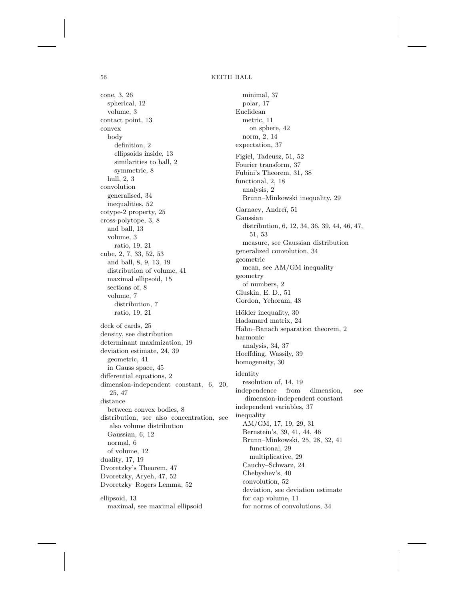cone, 3, 26 spherical, 12 volume, 3 contact point, 13 convex body definition, 2 ellipsoids inside, 13 similarities to ball, 2 symmetric, 8 hull, 2, 3 convolution generalised, 34 inequalities, 52 cotype-2 property, 25 cross-polytope, 3, 8 and ball, 13 volume, 3 ratio, 19, 21 cube, 2, 7, 33, 52, 53 and ball, 8, 9, 13, 19 distribution of volume, 41 maximal ellipsoid, 15 sections of, 8 volume, 7 distribution, 7 ratio, 19, 21 deck of cards, 25 density, see distribution determinant maximization, 19 deviation estimate, 24, 39 geometric, 41 in Gauss space, 45 differential equations, 2 dimension-independent constant, 6, 20, 25, 47 distance between convex bodies, 8 distribution, see also concentration, see also volume distribution Gaussian, 6, 12 normal, 6 of volume, 12 duality, 17, 19 Dvoretzky's Theorem, 47 Dvoretzky, Aryeh, 47, 52 Dvoretzky–Rogers Lemma, 52 ellipsoid, 13

maximal, see maximal ellipsoid

minimal, 37 polar, 17 Euclidean metric, 11 on sphere, 42 norm, 2, 14 expectation, 37 Figiel, Tadeusz, 51, 52 Fourier transform, 37 Fubini's Theorem, 31, 38 functional, 2, 18 analysis, 2 Brunn–Minkowski inequality, 29 Garnaev, Andreĭ, 51 Gaussian distribution, 6, 12, 34, 36, 39, 44, 46, 47, 51, 53 measure, see Gaussian distribution generalized convolution, 34 geometric mean, see AM/GM inequality geometry of numbers, 2 Gluskin, E. D., 51 Gordon, Yehoram, 48 Hölder inequality, 30 Hadamard matrix, 24 Hahn–Banach separation theorem, 2 harmonic analysis, 34, 37 Hoeffding, Wassily, 39 homogeneity, 30 identity resolution of, 14, 19 independence from dimension, see dimension-independent constant independent variables, 37 inequality AM/GM, 17, 19, 29, 31 Bernstein's, 39, 41, 44, 46 Brunn–Minkowski, 25, 28, 32, 41 functional, 29 multiplicative, 29 Cauchy–Schwarz, 24 Chebyshev's, 40 convolution, 52 deviation, see deviation estimate for cap volume, 11 for norms of convolutions, 34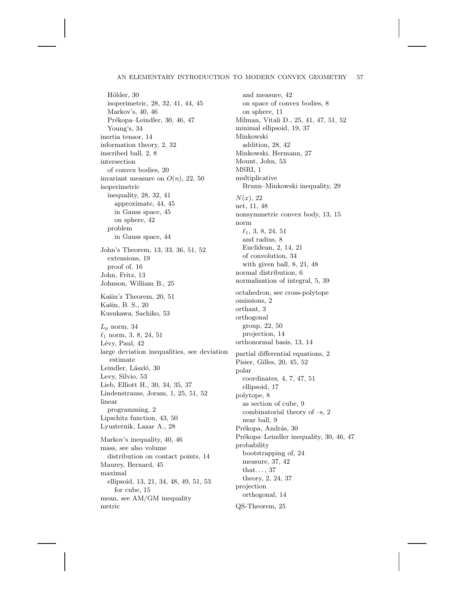### AN ELEMENTARY INTRODUCTION TO MODERN CONVEX GEOMETRY 57

Hölder, 30 isoperimetric, 28, 32, 41, 44, 45 Markov's, 40, 46 Prékopa–Leindler, 30, 46, 47 Young's, 34 inertia tensor, 14 information theory, 2, 32 inscribed ball, 2, 8 intersection of convex bodies, 20 invariant measure on  $O(n)$ , 22, 50 isoperimetric inequality, 28, 32, 41 approximate, 44, 45 in Gauss space, 45 on sphere, 42 problem in Gauss space, 44 John's Theorem, 13, 33, 36, 51, 52 extensions, 19 proof of, 16 John, Fritz, 13 Johnson, William B., 25 Kašin's Theorem, 20, 51 Kašin, B. S., 20 Kusukawa, Sachiko, 53  $L_p$  norm, 34  $\ell_1$  norm, 3, 8, 24, 51 Lévy, Paul, 42 large deviation inequalities, see deviation estimate Leindler, László,  $30\,$ Levy, Silvio, 53 Lieb, Elliott H., 30, 34, 35, 37 Lindenstrauss, Joram, 1, 25, 51, 52 linear programming, 2 Lipschitz function, 43, 50 Lyusternik, Lazar A., 28 Markov's inequality, 40, 46 mass, see also volume distribution on contact points, 14 Maurey, Bernard, 45 maximal ellipsoid, 13, 21, 34, 48, 49, 51, 53 for cube, 15 mean, see AM/GM inequality metric

and measure, 42 on space of convex bodies, 8 on sphere, 11 Milman, Vitali D., 25, 41, 47, 51, 52 minimal ellipsoid, 19, 37 Minkowski addition, 28, 42 Minkowski, Hermann, 27 Mount, John, 53 MSRI, 1 multiplicative Brunn–Minkowski inequality, 29  $N(x)$ , 22 net, 11, 48 nonsymmetric convex body, 13, 15 norm  $\ell_1$ , 3, 8, 24, 51 and radius, 8 Euclidean, 2, 14, 21 of convolution, 34 with given ball, 8, 21, 48 normal distribution, 6 normalisation of integral, 5, 39 octahedron, see cross-polytope omissions, 2 orthant, 3 orthogonal group, 22, 50 projection, 14 orthonormal basis, 13, 14 partial differential equations, 2 Pisier, Gilles, 20, 45, 52 polar coordinates, 4, 7, 47, 51 ellipsoid, 17 polytope, 8 as section of cube, 9 combinatorial theory of –s, 2 near ball, 9 Prékopa, András, 30 Prékopa–Leindler inequality, 30, 46, 47 probability bootstrapping of, 24 measure, 37, 42 that. . . , 37 theory, 2, 24, 37 projection orthogonal, 14 QS-Theorem, 25